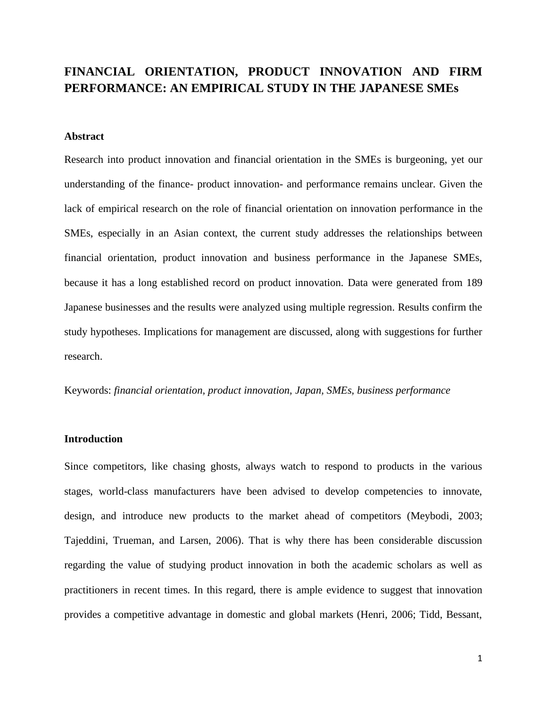# **FINANCIAL ORIENTATION, PRODUCT INNOVATION AND FIRM PERFORMANCE: AN EMPIRICAL STUDY IN THE JAPANESE SMEs**

# **Abstract**

Research into product innovation and financial orientation in the SMEs is burgeoning, yet our understanding of the finance- product innovation- and performance remains unclear. Given the lack of empirical research on the role of financial orientation on innovation performance in the SMEs, especially in an Asian context, the current study addresses the relationships between financial orientation, product innovation and business performance in the Japanese SMEs, because it has a long established record on product innovation. Data were generated from 189 Japanese businesses and the results were analyzed using multiple regression. Results confirm the study hypotheses. Implications for management are discussed, along with suggestions for further research.

Keywords: *financial orientation, product innovation, Japan, SMEs, business performance*

# **Introduction**

Since competitors, like chasing ghosts, always watch to respond to products in the various stages, world-class manufacturers have been advised to develop competencies to innovate, design, and introduce new products to the market ahead of competitors (Meybodi, 2003; Tajeddini, Trueman, and Larsen, 2006). That is why there has been considerable discussion regarding the value of studying product innovation in both the academic scholars as well as practitioners in recent times. In this regard, there is ample evidence to suggest that innovation provides a competitive advantage in domestic and global markets (Henri, 2006; Tidd, Bessant,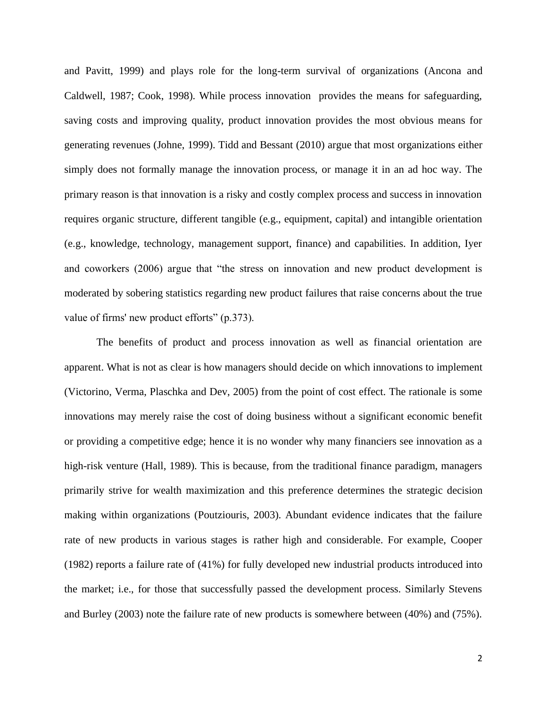and Pavitt, 1999) and plays role for the long-term survival of organizations (Ancona and Caldwell, 1987; Cook, 1998). While process innovation provides the means for safeguarding, saving costs and improving quality, product innovation provides the most obvious means for generating revenues (Johne, 1999). Tidd and Bessant (2010) argue that most organizations either simply does not formally manage the innovation process, or manage it in an ad hoc way. The primary reason is that innovation is a risky and costly complex process and success in innovation requires organic structure, different tangible (e.g., equipment, capital) and intangible orientation (e.g., knowledge, technology, management support, finance) and capabilities. In addition, Iyer and coworkers (2006) argue that "the stress on innovation and new product development is moderated by sobering statistics regarding new product failures that raise concerns about the true value of firms' new product efforts" (p.373).

The benefits of product and process innovation as well as financial orientation are apparent. What is not as clear is how managers should decide on which innovations to implement (Victorino, Verma, Plaschka and Dev, 2005) from the point of cost effect. The rationale is some innovations may merely raise the cost of doing business without a significant economic benefit or providing a competitive edge; hence it is no wonder why many financiers see innovation as a high-risk venture (Hall, 1989). This is because, from the traditional finance paradigm, managers primarily strive for wealth maximization and this preference determines the strategic decision making within organizations (Poutziouris, 2003). Abundant evidence indicates that the failure rate of new products in various stages is rather high and considerable. For example, Cooper (1982) reports a failure rate of (41%) for fully developed new industrial products introduced into the market; i.e., for those that successfully passed the development process. Similarly Stevens and Burley (2003) note the failure rate of new products is somewhere between (40%) and (75%).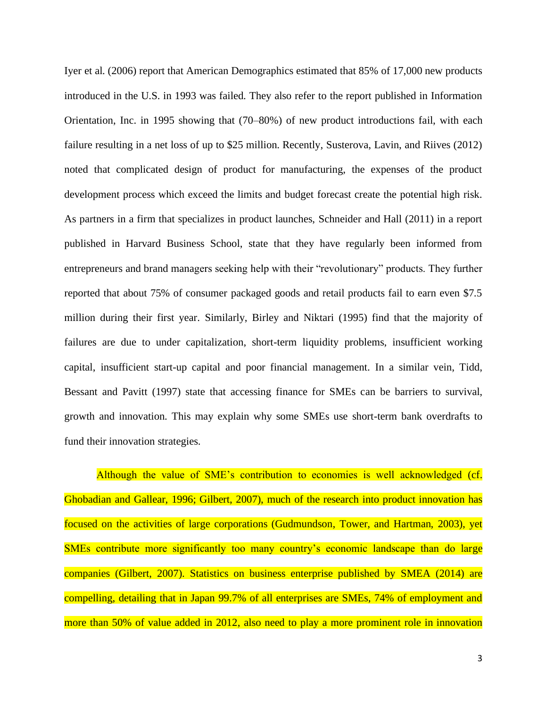Iyer et al. (2006) report that American Demographics estimated that 85% of 17,000 new products introduced in the U.S. in 1993 was failed. They also refer to the report published in Information Orientation, Inc. in 1995 showing that (70–80%) of new product introductions fail, with each failure resulting in a net loss of up to \$25 million. Recently, Susterova, Lavin, and Riives (2012) noted that complicated design of product for manufacturing, the expenses of the product development process which exceed the limits and budget forecast create the potential high risk. As partners in a firm that specializes in product launches, Schneider and Hall (2011) in a report published in Harvard Business School, state that they have regularly been informed from entrepreneurs and brand managers seeking help with their "revolutionary" products. They further reported that about 75% of consumer packaged goods and retail products fail to earn even \$7.5 million during their first year. Similarly, Birley and Niktari (1995) find that the majority of failures are due to under capitalization, short-term liquidity problems, insufficient working capital, insufficient start-up capital and poor financial management. In a similar vein, Tidd, Bessant and Pavitt (1997) state that accessing finance for SMEs can be barriers to survival, growth and innovation. This may explain why some SMEs use short-term bank overdrafts to fund their innovation strategies.

Although the value of SME's contribution to economies is well acknowledged (cf. Ghobadian and Gallear, 1996; Gilbert, 2007), much of the research into product innovation has focused on the activities of large corporations (Gudmundson, Tower, and Hartman, 2003), yet SMEs contribute more significantly too many country's economic landscape than do large companies (Gilbert, 2007). Statistics on business enterprise published by SMEA (2014) are compelling, detailing that in Japan 99.7% of all enterprises are SMEs, 74% of employment and more than 50% of value added in 2012, also need to play a more prominent role in innovation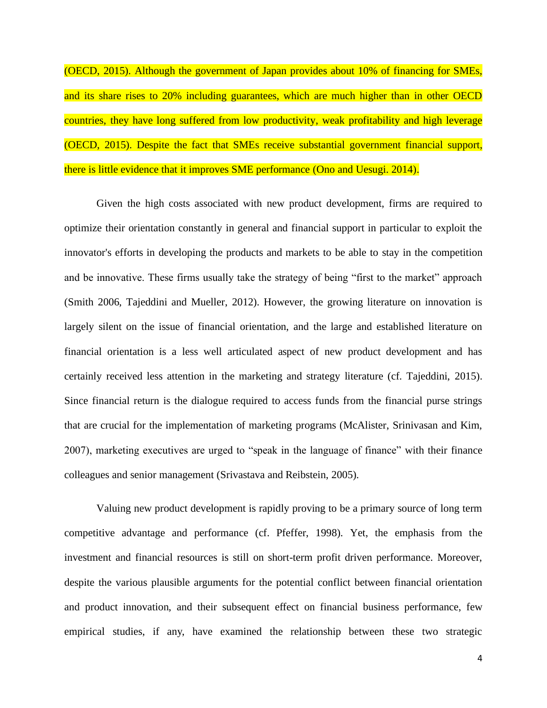(OECD, 2015). Although the government of Japan provides about 10% of financing for SMEs, and its share rises to 20% including guarantees, which are much higher than in other OECD countries, they have long suffered from low productivity, weak profitability and high leverage (OECD, 2015). Despite the fact that SMEs receive substantial government financial support, there is little evidence that it improves SME performance (Ono and Uesugi. 2014).

Given the high costs associated with new product development, firms are required to optimize their orientation constantly in general and financial support in particular to exploit the innovator's efforts in developing the products and markets to be able to stay in the competition and be innovative. These firms usually take the strategy of being "first to the market" approach (Smith 2006, Tajeddini and Mueller, 2012). However, the growing literature on innovation is largely silent on the issue of financial orientation, and the large and established literature on financial orientation is a less well articulated aspect of new product development and has certainly received less attention in the marketing and strategy literature (cf. Tajeddini, 2015). Since financial return is the dialogue required to access funds from the financial purse strings that are crucial for the implementation of marketing programs (McAlister, Srinivasan and Kim, 2007), marketing executives are urged to "speak in the language of finance" with their finance colleagues and senior management (Srivastava and Reibstein, 2005).

Valuing new product development is rapidly proving to be a primary source of long term competitive advantage and performance (cf. Pfeffer, 1998). Yet, the emphasis from the investment and financial resources is still on short-term profit driven performance. Moreover, despite the various plausible arguments for the potential conflict between financial orientation and product innovation, and their subsequent effect on financial business performance, few empirical studies, if any, have examined the relationship between these two strategic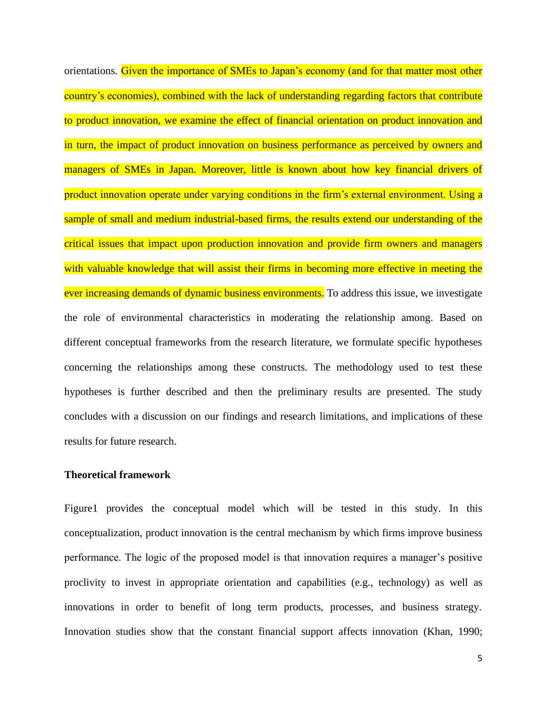orientations. Given the importance of SMEs to Japan's economy (and for that matter most other country's economies), combined with the lack of understanding regarding factors that contribute to product innovation, we examine the effect of financial orientation on product innovation and in turn, the impact of product innovation on business performance as perceived by owners and managers of SMEs in Japan. Moreover, little is known about how key financial drivers of product innovation operate under varying conditions in the firm's external environment. Using a sample of small and medium industrial-based firms, the results extend our understanding of the critical issues that impact upon production innovation and provide firm owners and managers with valuable knowledge that will assist their firms in becoming more effective in meeting the ever increasing demands of dynamic business environments. To address this issue, we investigate the role of environmental characteristics in moderating the relationship among. Based on different conceptual frameworks from the research literature, we formulate specific hypotheses concerning the relationships among these constructs. The methodology used to test these hypotheses is further described and then the preliminary results are presented. The study concludes with a discussion on our findings and research limitations, and implications of these results for future research.

# **Theoretical framework**

Figure1 provides the conceptual model which will be tested in this study. In this conceptualization, product innovation is the central mechanism by which firms improve business performance. The logic of the proposed model is that innovation requires a manager's positive proclivity to invest in appropriate orientation and capabilities (e.g., technology) as well as innovations in order to benefit of long term products, processes, and business strategy. Innovation studies show that the constant financial support affects innovation (Khan, 1990;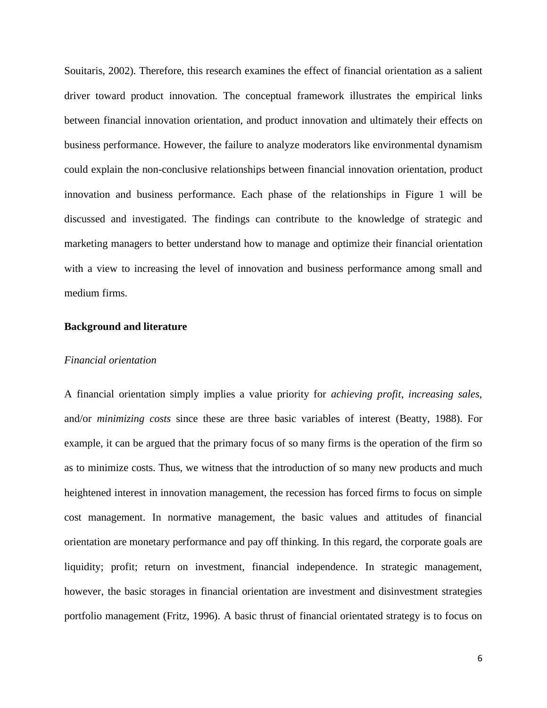Souitaris, 2002). Therefore, this research examines the effect of financial orientation as a salient driver toward product innovation. The conceptual framework illustrates the empirical links between financial innovation orientation, and product innovation and ultimately their effects on business performance. However, the failure to analyze moderators like environmental dynamism could explain the non-conclusive relationships between financial innovation orientation, product innovation and business performance. Each phase of the relationships in Figure 1 will be discussed and investigated. The findings can contribute to the knowledge of strategic and marketing managers to better understand how to manage and optimize their financial orientation with a view to increasing the level of innovation and business performance among small and medium firms.

#### **Background and literature**

# *Financial orientation*

A financial orientation simply implies a value priority for *achieving profit*, *increasing sales*, and/or *minimizing costs* since these are three basic variables of interest (Beatty, 1988). For example, it can be argued that the primary focus of so many firms is the operation of the firm so as to minimize costs. Thus, we witness that the introduction of so many new products and much heightened interest in innovation management, the recession has forced firms to focus on simple cost management. In normative management, the basic values and attitudes of financial orientation are monetary performance and pay off thinking. In this regard, the corporate goals are liquidity; profit; return on investment, financial independence. In strategic management, however, the basic storages in financial orientation are investment and disinvestment strategies portfolio management (Fritz, 1996). A basic thrust of financial orientated strategy is to focus on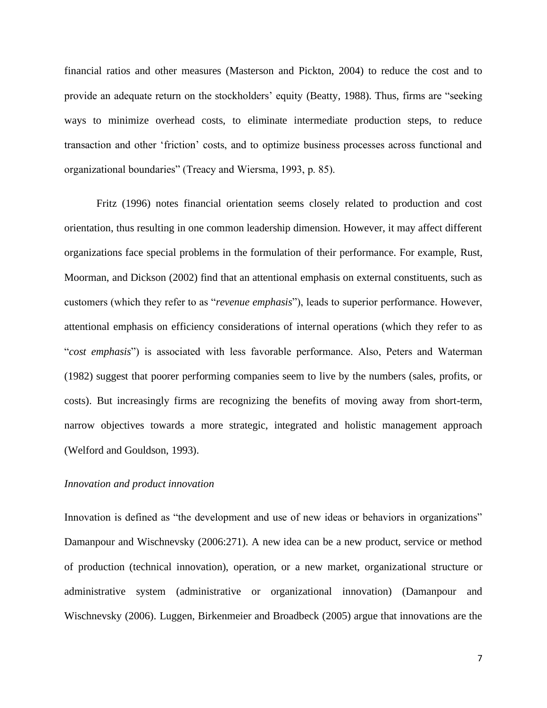financial ratios and other measures (Masterson and Pickton, 2004) to reduce the cost and to provide an adequate return on the stockholders' equity (Beatty, 1988). Thus, firms are "seeking ways to minimize overhead costs, to eliminate intermediate production steps, to reduce transaction and other 'friction' costs, and to optimize business processes across functional and organizational boundaries" (Treacy and Wiersma, 1993, p. 85).

Fritz (1996) notes financial orientation seems closely related to production and cost orientation, thus resulting in one common leadership dimension. However, it may affect different organizations face special problems in the formulation of their performance. For example, Rust, Moorman, and Dickson (2002) find that an attentional emphasis on external constituents, such as customers (which they refer to as "*revenue emphasis*"), leads to superior performance. However, attentional emphasis on efficiency considerations of internal operations (which they refer to as "*cost emphasis*") is associated with less favorable performance. Also, Peters and Waterman (1982) suggest that poorer performing companies seem to live by the numbers (sales, profits, or costs). But increasingly firms are recognizing the benefits of moving away from short-term, narrow objectives towards a more strategic, integrated and holistic management approach (Welford and Gouldson, 1993).

#### *Innovation and product innovation*

Innovation is defined as "the development and use of new ideas or behaviors in organizations" Damanpour and Wischnevsky (2006:271). A new idea can be a new product, service or method of production (technical innovation), operation, or a new market, organizational structure or administrative system (administrative or organizational innovation) (Damanpour and Wischnevsky (2006). Luggen, Birkenmeier and Broadbeck (2005) argue that innovations are the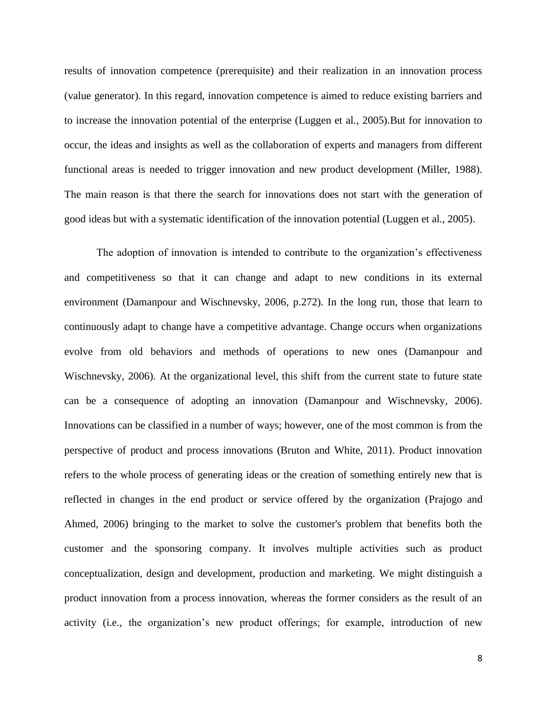results of innovation competence (prerequisite) and their realization in an innovation process (value generator). In this regard, innovation competence is aimed to reduce existing barriers and to increase the innovation potential of the enterprise (Luggen et al., 2005).But for innovation to occur, the ideas and insights as well as the collaboration of experts and managers from different functional areas is needed to trigger innovation and new product development (Miller, 1988). The main reason is that there the search for innovations does not start with the generation of good ideas but with a systematic identification of the innovation potential (Luggen et al., 2005).

The adoption of innovation is intended to contribute to the organization's effectiveness and competitiveness so that it can change and adapt to new conditions in its external environment (Damanpour and Wischnevsky, 2006, p.272). In the long run, those that learn to continuously adapt to change have a competitive advantage. Change occurs when organizations evolve from old behaviors and methods of operations to new ones (Damanpour and Wischnevsky, 2006). At the organizational level, this shift from the current state to future state can be a consequence of adopting an innovation (Damanpour and Wischnevsky, 2006). Innovations can be classified in a number of ways; however, one of the most common is from the perspective of product and process innovations (Bruton and White, 2011). Product innovation refers to the whole process of generating ideas or the creation of something entirely new that is reflected in changes in the end product or service offered by the organization (Prajogo and Ahmed, 2006) bringing to the market to solve the customer's problem that benefits both the customer and the sponsoring company. It involves multiple activities such as product conceptualization, design and development, production and marketing. We might distinguish a product innovation from a process innovation, whereas the former considers as the result of an activity (i.e., the organization's new product offerings; for example, introduction of new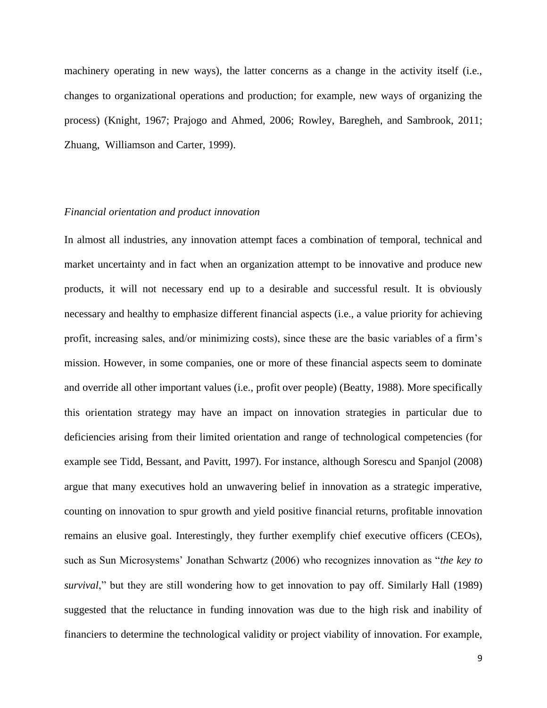machinery operating in new ways), the latter concerns as a change in the activity itself (i.e., changes to organizational operations and production; for example, new ways of organizing the process) (Knight, 1967; Prajogo and Ahmed, 2006; Rowley, Baregheh, and Sambrook, 2011; Zhuang, Williamson and Carter, 1999).

# *Financial orientation and product innovation*

In almost all industries, any innovation attempt faces a combination of temporal, technical and market uncertainty and in fact when an organization attempt to be innovative and produce new products, it will not necessary end up to a desirable and successful result. It is obviously necessary and healthy to emphasize different financial aspects (i.e., a value priority for achieving profit, increasing sales, and/or minimizing costs), since these are the basic variables of a firm's mission. However, in some companies, one or more of these financial aspects seem to dominate and override all other important values (i.e., profit over people) (Beatty, 1988). More specifically this orientation strategy may have an impact on innovation strategies in particular due to deficiencies arising from their limited orientation and range of technological competencies (for example see Tidd, Bessant, and Pavitt, 1997). For instance, although Sorescu and Spanjol (2008) argue that many executives hold an unwavering belief in innovation as a strategic imperative, counting on innovation to spur growth and yield positive financial returns, profitable innovation remains an elusive goal. Interestingly, they further exemplify chief executive officers (CEOs), such as Sun Microsystems' Jonathan Schwartz (2006) who recognizes innovation as "*the key to survival*," but they are still wondering how to get innovation to pay off. Similarly Hall (1989) suggested that the reluctance in funding innovation was due to the high risk and inability of financiers to determine the technological validity or project viability of innovation. For example,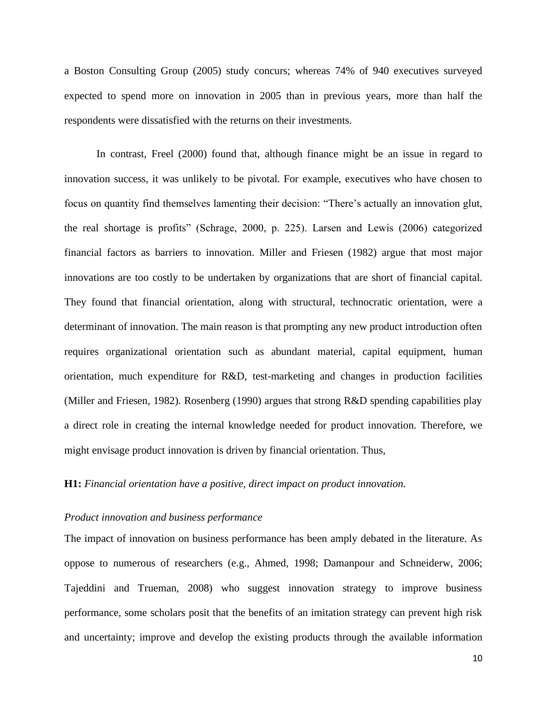a Boston Consulting Group (2005) study concurs; whereas 74% of 940 executives surveyed expected to spend more on innovation in 2005 than in previous years, more than half the respondents were dissatisfied with the returns on their investments.

In contrast, Freel (2000) found that, although finance might be an issue in regard to innovation success, it was unlikely to be pivotal. For example, executives who have chosen to focus on quantity find themselves lamenting their decision: "There's actually an innovation glut, the real shortage is profits" (Schrage, 2000, p. 225). Larsen and Lewis (2006) categorized financial factors as barriers to innovation. Miller and Friesen (1982) argue that most major innovations are too costly to be undertaken by organizations that are short of financial capital. They found that financial orientation, along with structural, technocratic orientation, were a determinant of innovation. The main reason is that prompting any new product introduction often requires organizational orientation such as abundant material, capital equipment, human orientation, much expenditure for R&D, test-marketing and changes in production facilities (Miller and Friesen, 1982). Rosenberg (1990) argues that strong R&D spending capabilities play a direct role in creating the internal knowledge needed for product innovation. Therefore, we might envisage product innovation is driven by financial orientation. Thus,

# **H1:** *Financial orientation have a positive, direct impact on product innovation.*

# *Product innovation and business performance*

The impact of innovation on business performance has been amply debated in the literature. As oppose to numerous of researchers (e.g., Ahmed, 1998; Damanpour and Schneiderw, 2006; Tajeddini and Trueman, 2008) who suggest innovation strategy to improve business performance, some scholars posit that the benefits of an imitation strategy can prevent high risk and uncertainty; improve and develop the existing products through the available information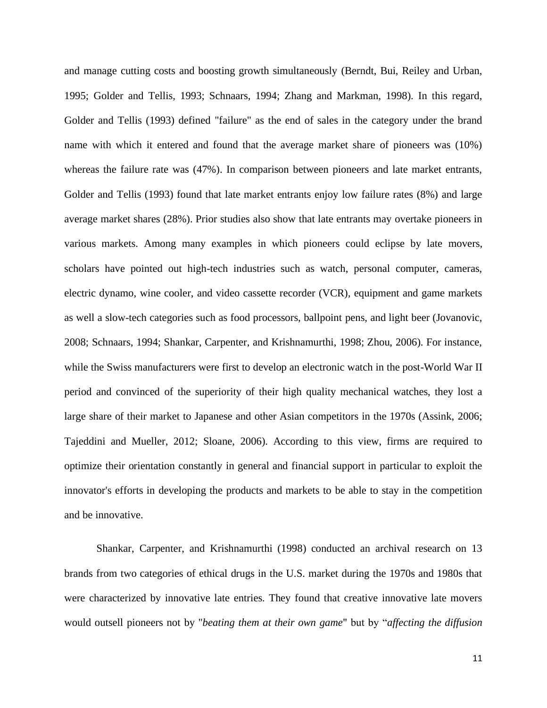and manage cutting costs and boosting growth simultaneously (Berndt, Bui, Reiley and Urban, 1995; Golder and Tellis, 1993; Schnaars, 1994; Zhang and Markman, 1998). In this regard, Golder and Tellis (1993) defined "failure" as the end of sales in the category under the brand name with which it entered and found that the average market share of pioneers was (10%) whereas the failure rate was (47%). In comparison between pioneers and late market entrants, Golder and Tellis (1993) found that late market entrants enjoy low failure rates (8%) and large average market shares (28%). Prior studies also show that late entrants may overtake pioneers in various markets. Among many examples in which pioneers could eclipse by late movers, scholars have pointed out high-tech industries such as watch, personal computer, cameras, electric dynamo, wine cooler, and video cassette recorder (VCR), equipment and game markets as well a slow-tech categories such as food processors, ballpoint pens, and light beer (Jovanovic, 2008; Schnaars, 1994; Shankar, Carpenter, and Krishnamurthi, 1998; Zhou, 2006). For instance, while the Swiss manufacturers were first to develop an electronic watch in the post-World War II period and convinced of the superiority of their high quality mechanical watches, they lost a large share of their market to Japanese and other Asian competitors in the 1970s (Assink, 2006; Tajeddini and Mueller, 2012; Sloane, 2006). According to this view, firms are required to optimize their orientation constantly in general and financial support in particular to exploit the innovator's efforts in developing the products and markets to be able to stay in the competition and be innovative.

Shankar, Carpenter, and Krishnamurthi (1998) conducted an archival research on 13 brands from two categories of ethical drugs in the U.S. market during the 1970s and 1980s that were characterized by innovative late entries. They found that creative innovative late movers would outsell pioneers not by "*beating them at their own game*" but by "*affecting the diffusion*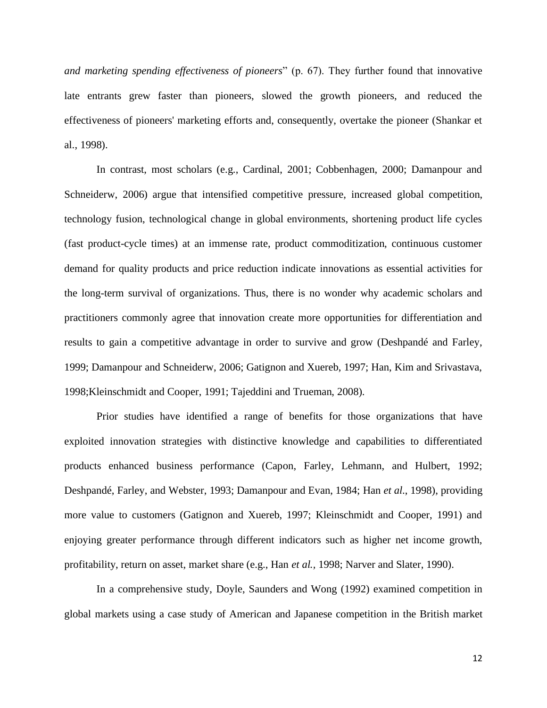*and marketing spending effectiveness of pioneers*" (p. 67). They further found that innovative late entrants grew faster than pioneers, slowed the growth pioneers, and reduced the effectiveness of pioneers' marketing efforts and, consequently, overtake the pioneer (Shankar et al., 1998).

In contrast, most scholars (e.g., Cardinal, 2001; Cobbenhagen, 2000; Damanpour and Schneiderw, 2006) argue that intensified competitive pressure, increased global competition, technology fusion, technological change in global environments, shortening product life cycles (fast product-cycle times) at an immense rate, product commoditization, continuous customer demand for quality products and price reduction indicate innovations as essential activities for the long-term survival of organizations. Thus, there is no wonder why academic scholars and practitioners commonly agree that innovation create more opportunities for differentiation and results to gain a competitive advantage in order to survive and grow (Deshpandé and Farley, 1999; Damanpour and Schneiderw, 2006; Gatignon and Xuereb, 1997; Han, Kim and Srivastava, 1998;Kleinschmidt and Cooper, 1991; Tajeddini and Trueman, 2008).

Prior studies have identified a range of benefits for those organizations that have exploited innovation strategies with distinctive knowledge and capabilities to differentiated products enhanced business performance (Capon, Farley, Lehmann, and Hulbert, 1992; Deshpandé, Farley, and Webster, 1993; Damanpour and Evan, 1984; Han *et al*., 1998), providing more value to customers (Gatignon and Xuereb, 1997; Kleinschmidt and Cooper, 1991) and enjoying greater performance through different indicators such as higher net income growth, profitability, return on asset, market share (e.g., Han *et al.,* 1998; Narver and Slater, 1990).

In a comprehensive study, Doyle, Saunders and Wong (1992) examined competition in global markets using a case study of American and Japanese competition in the British market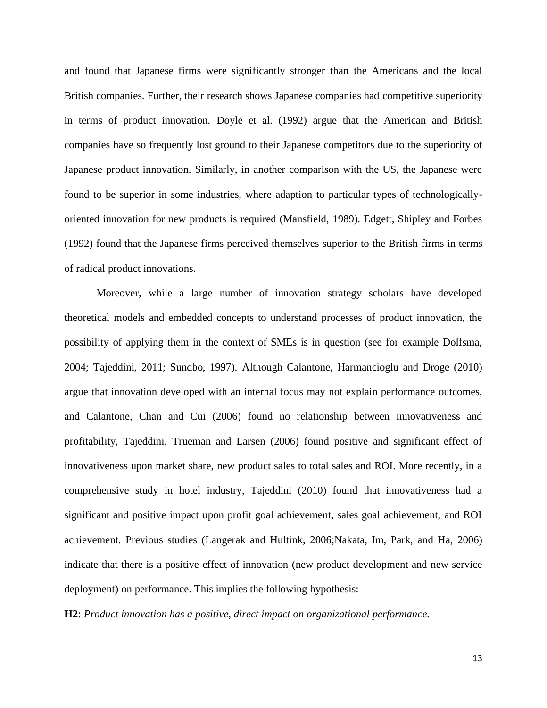and found that Japanese firms were significantly stronger than the Americans and the local British companies. Further, their research shows Japanese companies had competitive superiority in terms of product innovation. Doyle et al. (1992) argue that the American and British companies have so frequently lost ground to their Japanese competitors due to the superiority of Japanese product innovation. Similarly, in another comparison with the US, the Japanese were found to be superior in some industries, where adaption to particular types of technologicallyoriented innovation for new products is required (Mansfield, 1989). Edgett, Shipley and Forbes (1992) found that the Japanese firms perceived themselves superior to the British firms in terms of radical product innovations.

Moreover, while a large number of innovation strategy scholars have developed theoretical models and embedded concepts to understand processes of product innovation, the possibility of applying them in the context of SMEs is in question (see for example Dolfsma, 2004; Tajeddini, 2011; Sundbo, 1997). Although Calantone, Harmancioglu and Droge (2010) argue that innovation developed with an internal focus may not explain performance outcomes, and Calantone, Chan and Cui (2006) found no relationship between innovativeness and profitability, Tajeddini, Trueman and Larsen (2006) found positive and significant effect of innovativeness upon market share, new product sales to total sales and ROI. More recently, in a comprehensive study in hotel industry, Tajeddini (2010) found that innovativeness had a significant and positive impact upon profit goal achievement, sales goal achievement, and ROI achievement. Previous studies (Langerak and Hultink, 2006;Nakata, Im, Park, and Ha, 2006) indicate that there is a positive effect of innovation (new product development and new service deployment) on performance. This implies the following hypothesis:

**H2**: *Product innovation has a positive, direct impact on organizational performance.*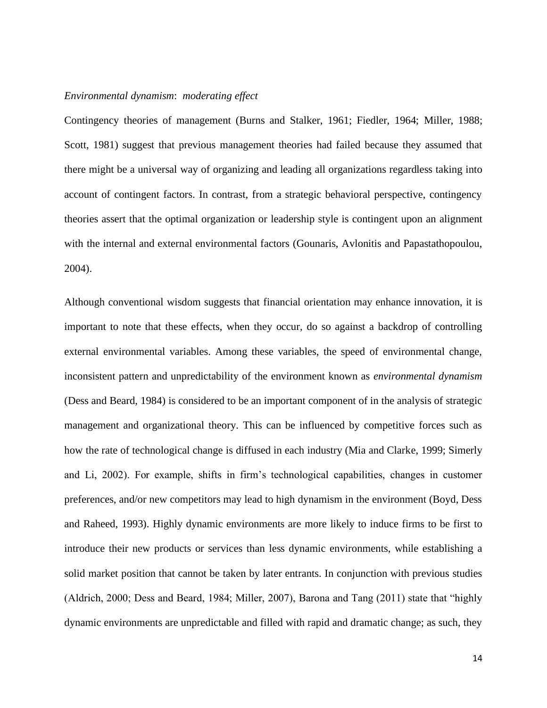# *Environmental dynamism*: *moderating effect*

Contingency theories of management (Burns and Stalker, 1961; Fiedler, 1964; Miller, 1988; Scott, 1981) suggest that previous management theories had failed because they assumed that there might be a universal way of organizing and leading all organizations regardless taking into account of contingent factors. In contrast, from a strategic behavioral perspective, contingency theories assert that the optimal organization or leadership style is contingent upon an alignment with the internal and external environmental factors (Gounaris, Avlonitis and Papastathopoulou, 2004).

Although conventional wisdom suggests that financial orientation may enhance innovation, it is important to note that these effects, when they occur, do so against a backdrop of controlling external environmental variables. Among these variables, the speed of environmental change, inconsistent pattern and unpredictability of the environment known as *environmental dynamism* (Dess and Beard, 1984) is considered to be an important component of in the analysis of strategic management and organizational theory. This can be influenced by competitive forces such as how the rate of technological change is diffused in each industry (Mia and Clarke, 1999; Simerly and Li, 2002). For example, shifts in firm's technological capabilities, changes in customer preferences, and/or new competitors may lead to high dynamism in the environment (Boyd, Dess and Raheed, 1993). Highly dynamic environments are more likely to induce firms to be first to introduce their new products or services than less dynamic environments, while establishing a solid market position that cannot be taken by later entrants. In conjunction with previous studies (Aldrich, 2000; Dess and Beard, 1984; Miller, 2007), Barona and Tang (2011) state that "highly dynamic environments are unpredictable and filled with rapid and dramatic change; as such, they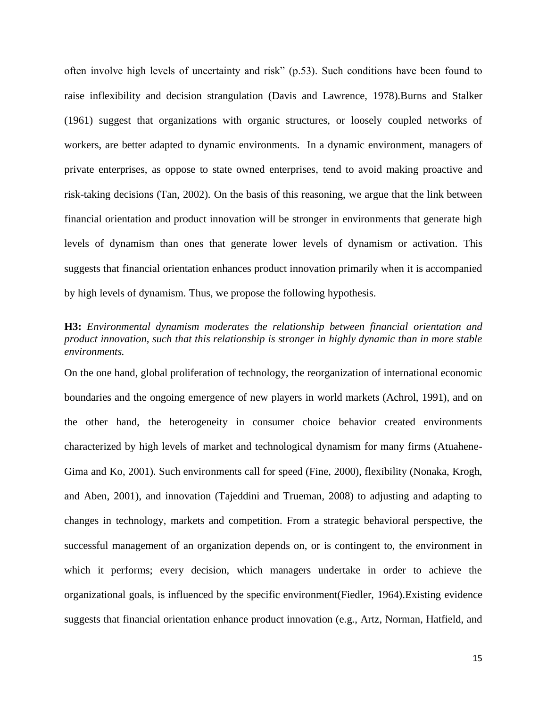often involve high levels of uncertainty and risk" (p.53). Such conditions have been found to raise inflexibility and decision strangulation (Davis and Lawrence, 1978).Burns and Stalker (1961) suggest that organizations with organic structures, or loosely coupled networks of workers, are better adapted to dynamic environments. In a dynamic environment, managers of private enterprises, as oppose to state owned enterprises, tend to avoid making proactive and risk-taking decisions (Tan, 2002). On the basis of this reasoning, we argue that the link between financial orientation and product innovation will be stronger in environments that generate high levels of dynamism than ones that generate lower levels of dynamism or activation. This suggests that financial orientation enhances product innovation primarily when it is accompanied by high levels of dynamism. Thus, we propose the following hypothesis.

# **H3:** *Environmental dynamism moderates the relationship between financial orientation and product innovation, such that this relationship is stronger in highly dynamic than in more stable environments.*

On the one hand, global proliferation of technology, the reorganization of international economic boundaries and the ongoing emergence of new players in world markets (Achrol, 1991), and on the other hand, the heterogeneity in consumer choice behavior created environments characterized by high levels of market and technological dynamism for many firms (Atuahene-Gima and Ko, 2001). Such environments call for speed (Fine, 2000), flexibility (Nonaka, Krogh, and Aben, 2001), and innovation (Tajeddini and Trueman, 2008) to adjusting and adapting to changes in technology, markets and competition. From a strategic behavioral perspective, the successful management of an organization depends on, or is contingent to, the environment in which it performs; every decision, which managers undertake in order to achieve the organizational goals, is influenced by the specific environment(Fiedler, 1964).Existing evidence suggests that financial orientation enhance product innovation (e.g., Artz, Norman, Hatfield, and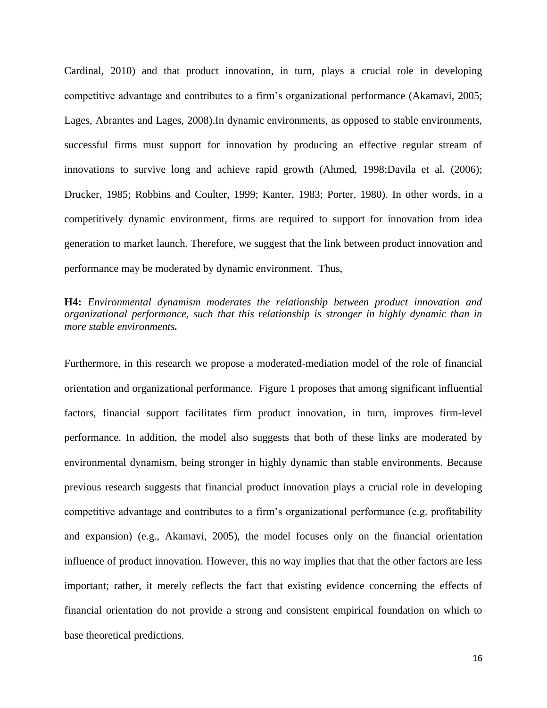Cardinal, 2010) and that product innovation, in turn, plays a crucial role in developing competitive advantage and contributes to a firm's organizational performance (Akamavi, 2005; Lages, Abrantes and Lages, 2008).In dynamic environments, as opposed to stable environments, successful firms must support for innovation by producing an effective regular stream of innovations to survive long and achieve rapid growth (Ahmed, 1998;Davila et al. (2006); Drucker, 1985; Robbins and Coulter, 1999; Kanter, 1983; Porter, 1980). In other words, in a competitively dynamic environment, firms are required to support for innovation from idea generation to market launch. Therefore, we suggest that the link between product innovation and performance may be moderated by dynamic environment. Thus,

# **H4:** *Environmental dynamism moderates the relationship between product innovation and organizational performance, such that this relationship is stronger in highly dynamic than in more stable environments.*

Furthermore, in this research we propose a moderated-mediation model of the role of financial orientation and organizational performance. Figure 1 proposes that among significant influential factors, financial support facilitates firm product innovation, in turn, improves firm-level performance. In addition, the model also suggests that both of these links are moderated by environmental dynamism, being stronger in highly dynamic than stable environments. Because previous research suggests that financial product innovation plays a crucial role in developing competitive advantage and contributes to a firm's organizational performance (e.g. profitability and expansion) (e.g., Akamavi, 2005), the model focuses only on the financial orientation influence of product innovation. However, this no way implies that that the other factors are less important; rather, it merely reflects the fact that existing evidence concerning the effects of financial orientation do not provide a strong and consistent empirical foundation on which to base theoretical predictions.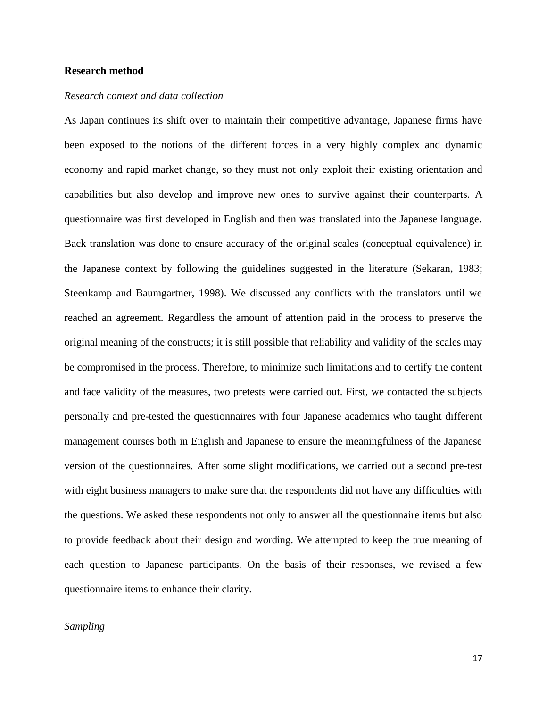#### **Research method**

#### *Research context and data collection*

As Japan continues its shift over to maintain their competitive advantage, Japanese firms have been exposed to the notions of the different forces in a very highly complex and dynamic economy and rapid market change, so they must not only exploit their existing orientation and capabilities but also develop and improve new ones to survive against their counterparts. A questionnaire was first developed in English and then was translated into the Japanese language. Back translation was done to ensure accuracy of the original scales (conceptual equivalence) in the Japanese context by following the guidelines suggested in the literature (Sekaran, 1983; Steenkamp and Baumgartner, 1998). We discussed any conflicts with the translators until we reached an agreement. Regardless the amount of attention paid in the process to preserve the original meaning of the constructs; it is still possible that reliability and validity of the scales may be compromised in the process. Therefore, to minimize such limitations and to certify the content and face validity of the measures, two pretests were carried out. First, we contacted the subjects personally and pre-tested the questionnaires with four Japanese academics who taught different management courses both in English and Japanese to ensure the meaningfulness of the Japanese version of the questionnaires. After some slight modifications, we carried out a second pre-test with eight business managers to make sure that the respondents did not have any difficulties with the questions. We asked these respondents not only to answer all the questionnaire items but also to provide feedback about their design and wording. We attempted to keep the true meaning of each question to Japanese participants. On the basis of their responses, we revised a few questionnaire items to enhance their clarity.

#### *Sampling*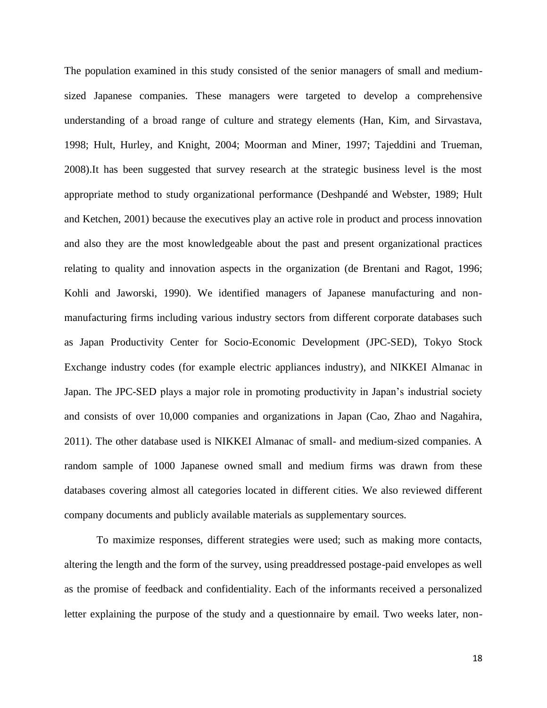The population examined in this study consisted of the senior managers of small and mediumsized Japanese companies. These managers were targeted to develop a comprehensive understanding of a broad range of culture and strategy elements (Han, Kim, and Sirvastava, 1998; Hult, Hurley, and Knight, 2004; Moorman and Miner, 1997; Tajeddini and Trueman, 2008).It has been suggested that survey research at the strategic business level is the most appropriate method to study organizational performance (Deshpandé and Webster, 1989; Hult and Ketchen, 2001) because the executives play an active role in product and process innovation and also they are the most knowledgeable about the past and present organizational practices relating to quality and innovation aspects in the organization (de Brentani and Ragot, 1996; Kohli and Jaworski, 1990). We identified managers of Japanese manufacturing and nonmanufacturing firms including various industry sectors from different corporate databases such as Japan Productivity Center for Socio-Economic Development (JPC-SED), Tokyo Stock Exchange industry codes (for example electric appliances industry), and NIKKEI Almanac in Japan. The JPC-SED plays a major role in promoting productivity in Japan's industrial society and consists of over 10,000 companies and organizations in Japan (Cao, Zhao and Nagahira, 2011). The other database used is NIKKEI Almanac of small- and medium-sized companies. A random sample of 1000 Japanese owned small and medium firms was drawn from these databases covering almost all categories located in different cities. We also reviewed different company documents and publicly available materials as supplementary sources.

To maximize responses, different strategies were used; such as making more contacts, altering the length and the form of the survey, using preaddressed postage-paid envelopes as well as the promise of feedback and confidentiality. Each of the informants received a personalized letter explaining the purpose of the study and a questionnaire by email. Two weeks later, non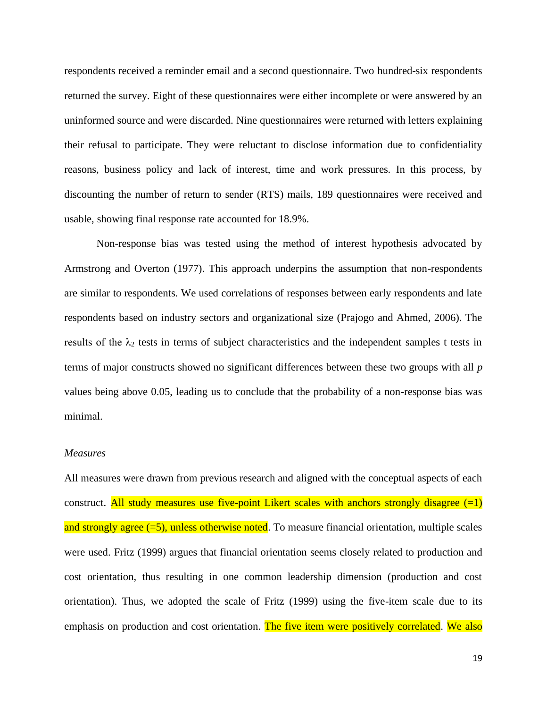respondents received a reminder email and a second questionnaire. Two hundred-six respondents returned the survey. Eight of these questionnaires were either incomplete or were answered by an uninformed source and were discarded. Nine questionnaires were returned with letters explaining their refusal to participate. They were reluctant to disclose information due to confidentiality reasons, business policy and lack of interest, time and work pressures. In this process, by discounting the number of return to sender (RTS) mails, 189 questionnaires were received and usable, showing final response rate accounted for 18.9%.

Non-response bias was tested using the method of interest hypothesis advocated by Armstrong and Overton (1977). This approach underpins the assumption that non-respondents are similar to respondents. We used correlations of responses between early respondents and late respondents based on industry sectors and organizational size (Prajogo and Ahmed, 2006). The results of the  $\lambda_2$  tests in terms of subject characteristics and the independent samples t tests in terms of major constructs showed no significant differences between these two groups with all *p* values being above 0.05, leading us to conclude that the probability of a non-response bias was minimal.

#### *Measures*

All measures were drawn from previous research and aligned with the conceptual aspects of each construct. All study measures use five-point Likert scales with anchors strongly disagree  $(=1)$ and strongly agree  $(=5)$ , unless otherwise noted. To measure financial orientation, multiple scales were used. Fritz (1999) argues that financial orientation seems closely related to production and cost orientation, thus resulting in one common leadership dimension (production and cost orientation). Thus, we adopted the scale of Fritz (1999) using the five-item scale due to its emphasis on production and cost orientation. The five item were positively correlated. We also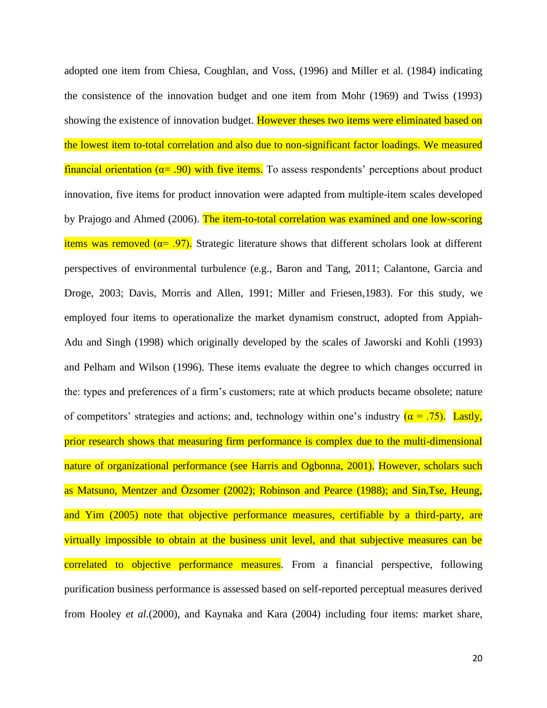adopted one item from Chiesa, Coughlan, and Voss, (1996) and Miller et al. (1984) indicating the consistence of the innovation budget and one item from Mohr (1969) and Twiss (1993) showing the existence of innovation budget. However theses two items were eliminated based on the lowest item to-total correlation and also due to non-significant factor loadings. We measured financial orientation ( $\alpha$ = .90) with five items. To assess respondents' perceptions about product innovation, five items for product innovation were adapted from multiple-item scales developed by Prajogo and Ahmed (2006). The item-to-total correlation was examined and one low-scoring items was removed ( $\alpha$ = .97). Strategic literature shows that different scholars look at different perspectives of environmental turbulence (e.g., Baron and Tang, 2011; Calantone, Garcia and Droge, 2003; Davis, Morris and Allen, 1991; Miller and Friesen,1983). For this study, we employed four items to operationalize the market dynamism construct, adopted from Appiah-Adu and Singh (1998) which originally developed by the scales of Jaworski and Kohli (1993) and Pelham and Wilson (1996). These items evaluate the degree to which changes occurred in the: types and preferences of a firm's customers; rate at which products became obsolete; nature of competitors' strategies and actions; and, technology within one's industry  $(a = .75)$ . Lastly, prior research shows that measuring firm performance is complex due to the multi-dimensional nature of organizational performance (see Harris and Ogbonna, 2001). However, scholars such as Matsuno, Mentzer and Özsomer (2002); Robinson and Pearce (1988); and Sin,Tse, Heung, and Yim (2005) note that objective performance measures, certifiable by a third-party, are virtually impossible to obtain at the business unit level, and that subjective measures can be correlated to objective performance measures. From a financial perspective, following purification business performance is assessed based on self-reported perceptual measures derived from Hooley *et al.*(2000), and Kaynaka and Kara (2004) including four items: market share,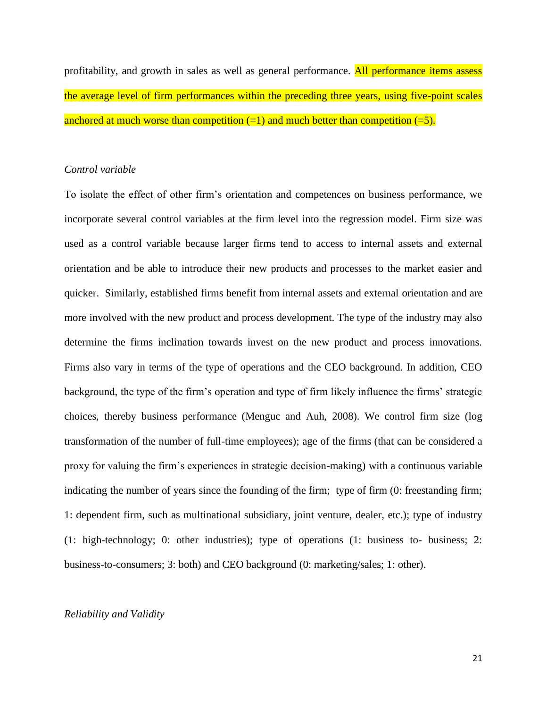profitability, and growth in sales as well as general performance. All performance items assess the average level of firm performances within the preceding three years, using five-point scales anchored at much worse than competition  $(=1)$  and much better than competition  $(=5)$ .

#### *Control variable*

To isolate the effect of other firm's orientation and competences on business performance, we incorporate several control variables at the firm level into the regression model. Firm size was used as a control variable because larger firms tend to access to internal assets and external orientation and be able to introduce their new products and processes to the market easier and quicker. Similarly, established firms benefit from internal assets and external orientation and are more involved with the new product and process development. The type of the industry may also determine the firms inclination towards invest on the new product and process innovations. Firms also vary in terms of the type of operations and the CEO background. In addition, CEO background, the type of the firm's operation and type of firm likely influence the firms' strategic choices, thereby business performance (Menguc and Auh, 2008). We control firm size (log transformation of the number of full-time employees); age of the firms (that can be considered a proxy for valuing the firm's experiences in strategic decision-making) with a continuous variable indicating the number of years since the founding of the firm; type of firm (0: freestanding firm; 1: dependent firm, such as multinational subsidiary, joint venture, dealer, etc.); type of industry (1: high-technology; 0: other industries); type of operations (1: business to- business; 2: business-to-consumers; 3: both) and CEO background (0: marketing/sales; 1: other).

## *Reliability and Validity*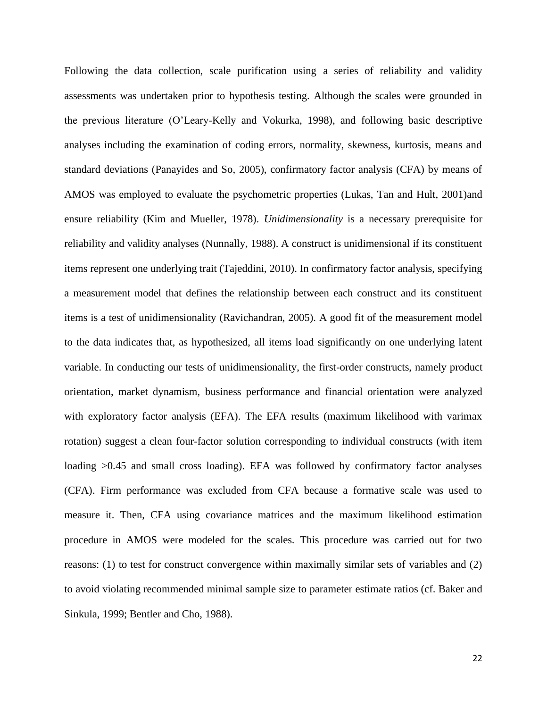Following the data collection, scale purification using a series of reliability and validity assessments was undertaken prior to hypothesis testing. Although the scales were grounded in the previous literature (O'Leary-Kelly and Vokurka, 1998), and following basic descriptive analyses including the examination of coding errors, normality, skewness, kurtosis, means and standard deviations (Panayides and So, 2005), confirmatory factor analysis (CFA) by means of AMOS was employed to evaluate the psychometric properties (Lukas, Tan and Hult, 2001)and ensure reliability (Kim and Mueller, 1978). *Unidimensionality* is a necessary prerequisite for reliability and validity analyses (Nunnally, 1988). A construct is unidimensional if its constituent items represent one underlying trait (Tajeddini, 2010). In confirmatory factor analysis, specifying a measurement model that defines the relationship between each construct and its constituent items is a test of unidimensionality (Ravichandran, 2005). A good fit of the measurement model to the data indicates that, as hypothesized, all items load significantly on one underlying latent variable. In conducting our tests of unidimensionality, the first-order constructs, namely product orientation, market dynamism, business performance and financial orientation were analyzed with exploratory factor analysis (EFA). The EFA results (maximum likelihood with varimax rotation) suggest a clean four-factor solution corresponding to individual constructs (with item loading  $>0.45$  and small cross loading). EFA was followed by confirmatory factor analyses (CFA). Firm performance was excluded from CFA because a formative scale was used to measure it. Then, CFA using covariance matrices and the maximum likelihood estimation procedure in AMOS were modeled for the scales. This procedure was carried out for two reasons: (1) to test for construct convergence within maximally similar sets of variables and (2) to avoid violating recommended minimal sample size to parameter estimate ratios (cf. Baker and Sinkula, 1999; Bentler and Cho, 1988).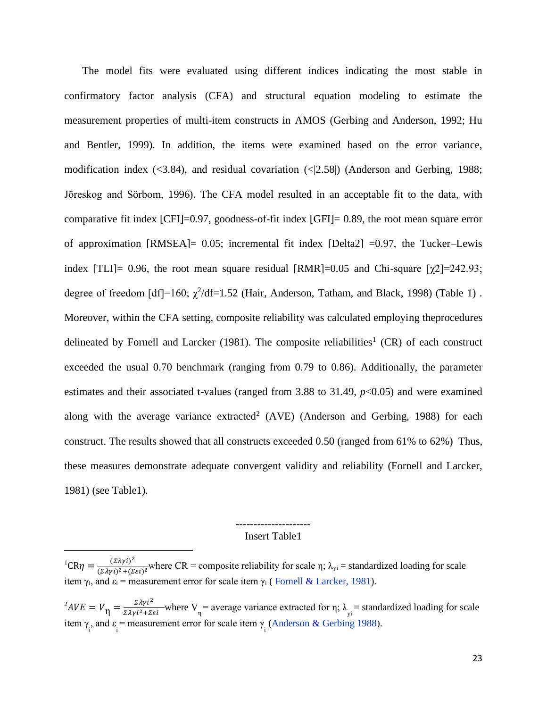The model fits were evaluated using different indices indicating the most stable in confirmatory factor analysis (CFA) and structural equation modeling to estimate the measurement properties of multi-item constructs in AMOS (Gerbing and Anderson, 1992; Hu and Bentler, 1999). In addition, the items were examined based on the error variance, modification index  $\langle \langle 3.84 \rangle$ , and residual covariation  $\langle \langle 2.58 \rangle$  (Anderson and Gerbing, 1988; Jӧreskog and Sӧrbom, 1996). The CFA model resulted in an acceptable fit to the data, with comparative fit index  $[CFI]=0.97$ , goodness-of-fit index  $[GFI]=0.89$ , the root mean square error of approximation [RMSEA]= 0.05; incremental fit index [Delta2] =0.97, the Tucker–Lewis index [TLI]= 0.96, the root mean square residual  $[RMR]=0.05$  and Chi-square  $[\gamma2]=242.93$ ; degree of freedom  $\text{[df]}=160$ ;  $\chi^2/\text{df}=1.52$  (Hair, Anderson, Tatham, and Black, 1998) (Table 1). Moreover, within the CFA setting, composite reliability was calculated employing theprocedures delineated by Fornell and Larcker (1981). The composite reliabilities<sup>1</sup> (CR) of each construct exceeded the usual 0.70 benchmark (ranging from 0.79 to 0.86). Additionally, the parameter estimates and their associated t-values (ranged from 3.88 to 31.49, *p*<0.05) and were examined along with the average variance  $extracted^2$  (AVE) (Anderson and Gerbing, 1988) for each construct. The results showed that all constructs exceeded 0.50 (ranged from 61% to 62%) Thus, these measures demonstrate adequate convergent validity and reliability (Fornell and Larcker, 1981) (see Table1).

# --------------------- Insert Table1

 ${}^{1}CR\eta = \frac{(\Sigma\lambda\gamma i)^{2}}{(\Sigma\lambda\gamma i)^{2}+(\Sigma\gamma i)^{2}}$  $\frac{((\Sigma \Lambda \gamma t))}{(\Sigma \lambda \gamma t)^2 + (\Sigma \varepsilon t)^2}$  where CR = composite reliability for scale  $\eta$ ;  $\lambda_{yi}$  = standardized loading for scale item  $\gamma_i$ , and  $\varepsilon_i$  = measurement error for scale item  $\gamma_i$  (Fornell & Larcker, 1981).

 $^2$ AVE =  $V_{\eta} = \frac{\Sigma \lambda \gamma i^2}{\Sigma \lambda \gamma i^2 + \Sigma \epsilon i}$  where V<sub>n</sub> = average variance extracted for  $\eta$ ;  $\lambda_{\text{yi}}$  = standardized loading for scale item  $\gamma$ <sub>i</sub>, and  $\varepsilon$ <sub>i</sub> = measurement error for scale item  $\gamma$ <sub>i</sub> (Anderson & Gerbing 1988).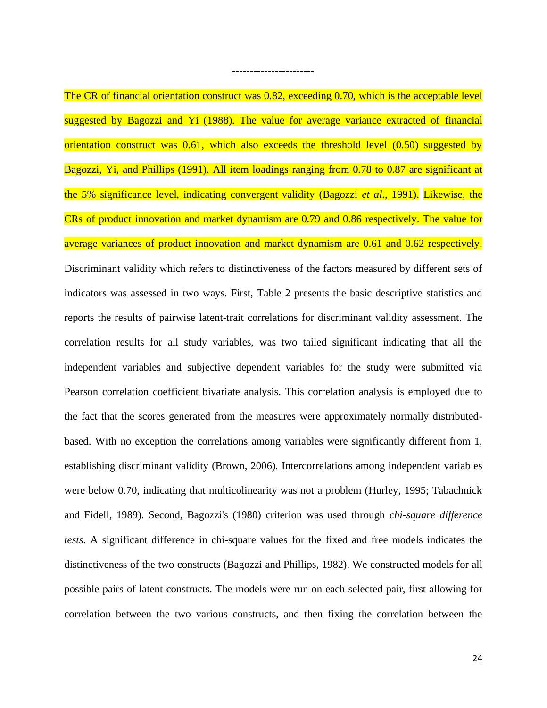The CR of financial orientation construct was 0.82, exceeding 0.70, which is the acceptable level suggested by Bagozzi and Yi (1988). The value for average variance extracted of financial orientation construct was 0.61, which also exceeds the threshold level (0.50) suggested by Bagozzi, Yi, and Phillips (1991). All item loadings ranging from 0.78 to 0.87 are significant at the 5% significance level, indicating convergent validity (Bagozzi *et al*., 1991). Likewise, the CRs of product innovation and market dynamism are 0.79 and 0.86 respectively. The value for average variances of product innovation and market dynamism are 0.61 and 0.62 respectively. Discriminant validity which refers to distinctiveness of the factors measured by different sets of indicators was assessed in two ways. First, Table 2 presents the basic descriptive statistics and reports the results of pairwise latent-trait correlations for discriminant validity assessment. The correlation results for all study variables, was two tailed significant indicating that all the independent variables and subjective dependent variables for the study were submitted via Pearson correlation coefficient bivariate analysis. This correlation analysis is employed due to the fact that the scores generated from the measures were approximately normally distributedbased. With no exception the correlations among variables were significantly different from 1, establishing discriminant validity (Brown, 2006). Intercorrelations among independent variables were below 0.70, indicating that multicolinearity was not a problem (Hurley, 1995; Tabachnick and Fidell, 1989). Second*,* Bagozzi's (1980) criterion was used through *chi-square difference tests*. A significant difference in chi-square values for the fixed and free models indicates the distinctiveness of the two constructs (Bagozzi and Phillips, 1982). We constructed models for all possible pairs of latent constructs. The models were run on each selected pair, first allowing for correlation between the two various constructs, and then fixing the correlation between the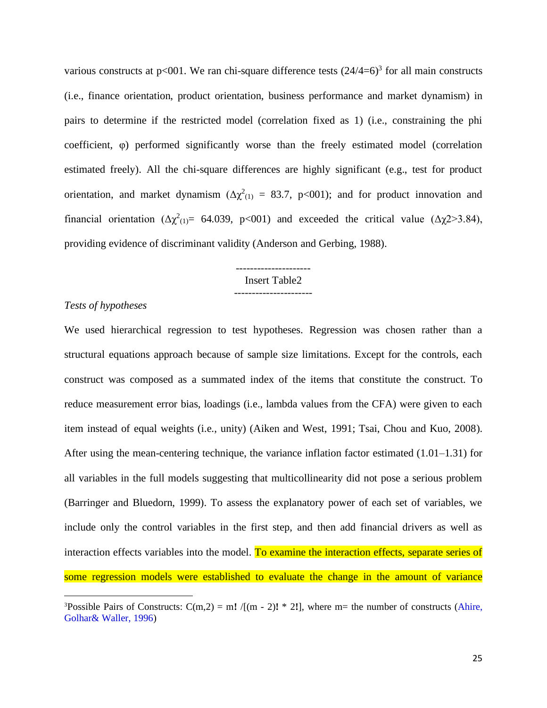various constructs at  $p<001$ . We ran chi-square difference tests  $(24/4=6)^3$  for all main constructs (i.e., finance orientation, product orientation, business performance and market dynamism) in pairs to determine if the restricted model (correlation fixed as 1) (i.e., constraining the phi coefficient, φ) performed significantly worse than the freely estimated model (correlation estimated freely). All the chi-square differences are highly significant (e.g., test for product orientation, and market dynamism ( $\Delta \chi^2$ <sub>(1)</sub> = 83.7, p<001); and for product innovation and financial orientation ( $\Delta \chi^2$ <sub>(1)</sub> = 64.039, p<001) and exceeded the critical value ( $\Delta \chi$ 2>3.84), providing evidence of discriminant validity (Anderson and Gerbing, 1988).

#### --------------------- Insert Table2 ----------------------

#### *Tests of hypotheses*

We used hierarchical regression to test hypotheses. Regression was chosen rather than a structural equations approach because of sample size limitations. Except for the controls, each construct was composed as a summated index of the items that constitute the construct. To reduce measurement error bias, loadings (i.e., lambda values from the CFA) were given to each item instead of equal weights (i.e., unity) (Aiken and West, 1991; Tsai, Chou and Kuo, 2008). After using the mean-centering technique, the variance inflation factor estimated (1.01–1.31) for all variables in the full models suggesting that multicollinearity did not pose a serious problem (Barringer and Bluedorn, 1999). To assess the explanatory power of each set of variables, we include only the control variables in the first step, and then add financial drivers as well as interaction effects variables into the model. To examine the interaction effects, separate series of some regression models were established to evaluate the change in the amount of variance

<sup>&</sup>lt;sup>3</sup>Possible Pairs of Constructs:  $C(m,2) = m! /[(m-2)! * 2!]$ , where m= the number of constructs (Ahire, Golhar& Waller, 1996)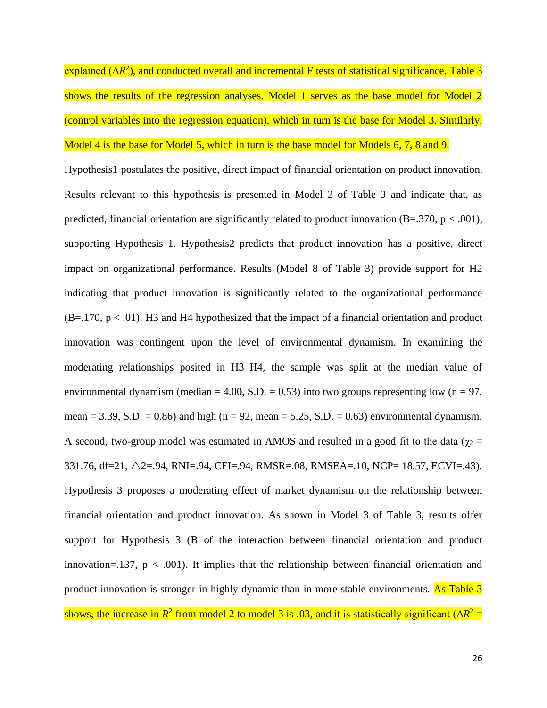explained (ΔR<sup>2</sup>), and conducted overall and incremental F tests of statistical significance. Table 3 shows the results of the regression analyses. Model 1 serves as the base model for Model 2 (control variables into the regression equation), which in turn is the base for Model 3. Similarly, Model 4 is the base for Model 5, which in turn is the base model for Models 6, 7, 8 and 9.

Hypothesis1 postulates the positive, direct impact of financial orientation on product innovation. Results relevant to this hypothesis is presented in Model 2 of Table 3 and indicate that, as predicted, financial orientation are significantly related to product innovation (B=.370, p < .001), supporting Hypothesis 1. Hypothesis2 predicts that product innovation has a positive, direct impact on organizational performance. Results (Model 8 of Table 3) provide support for H2 indicating that product innovation is significantly related to the organizational performance  $(B=.170, p < .01)$ . H3 and H4 hypothesized that the impact of a financial orientation and product innovation was contingent upon the level of environmental dynamism. In examining the moderating relationships posited in H3–H4, the sample was split at the median value of environmental dynamism (median = 4.00, S.D. = 0.53) into two groups representing low (n = 97, mean = 3.39, S.D. = 0.86) and high (n = 92, mean = 5.25, S.D. = 0.63) environmental dynamism. A second, two-group model was estimated in AMOS and resulted in a good fit to the data ( $\chi_2$  = 331.76, df=21,  $\triangle$ 2=.94, RNI=.94, CFI=.94, RMSR=.08, RMSEA=.10, NCP= 18.57, ECVI=.43). Hypothesis 3 proposes a moderating effect of market dynamism on the relationship between financial orientation and product innovation. As shown in Model 3 of Table 3, results offer support for Hypothesis 3 (B of the interaction between financial orientation and product innovation=.137,  $p < .001$ ). It implies that the relationship between financial orientation and product innovation is stronger in highly dynamic than in more stable environments. As Table 3 shows, the increase in  $R^2$  from model 2 to model 3 is .03, and it is statistically significant  $(\Delta R^2 =$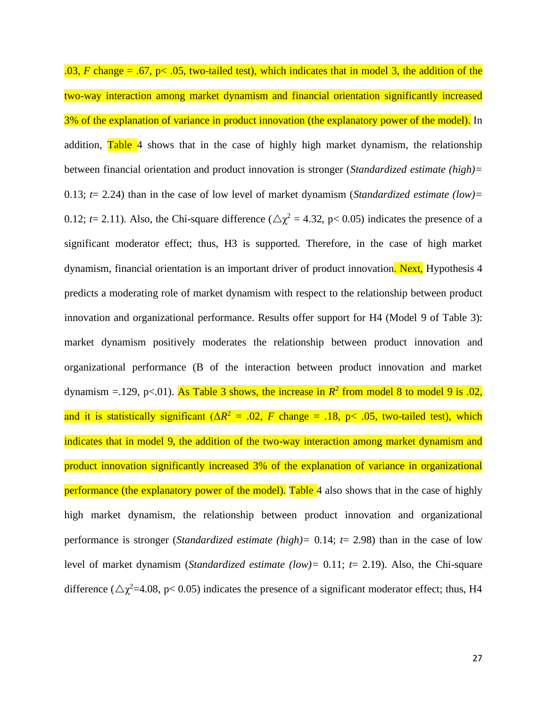$.03, F$  change = .67, p< .05, two-tailed test), which indicates that in model 3, the addition of the two-way interaction among market dynamism and financial orientation significantly increased 3% of the explanation of variance in product innovation (the explanatory power of the model). In addition, Table 4 shows that in the case of highly high market dynamism, the relationship between financial orientation and product innovation is stronger (*Standardized estimate (high)=*  0.13; *t*= 2.24) than in the case of low level of market dynamism (*Standardized estimate (low)=*  0.12;  $t = 2.11$ ). Also, the Chi-square difference ( $\Delta \chi^2 = 4.32$ , p< 0.05) indicates the presence of a significant moderator effect; thus, H3 is supported. Therefore, in the case of high market dynamism, financial orientation is an important driver of product innovation. Next, Hypothesis 4 predicts a moderating role of market dynamism with respect to the relationship between product innovation and organizational performance. Results offer support for H4 (Model 9 of Table 3): market dynamism positively moderates the relationship between product innovation and organizational performance (B of the interaction between product innovation and market dynamism =  $.129$ , p< $.01$ ). As Table 3 shows, the increase in  $R^2$  from model 8 to model 9 is  $.02$ , and it is statistically significant  $(\Delta R^2 = .02, F \text{ change} = .18, p < .05,$  two-tailed test), which indicates that in model 9, the addition of the two-way interaction among market dynamism and product innovation significantly increased 3% of the explanation of variance in organizational performance (the explanatory power of the model). Table 4 also shows that in the case of highly high market dynamism, the relationship between product innovation and organizational performance is stronger (*Standardized estimate (high)=* 0.14; *t*= 2.98) than in the case of low level of market dynamism (*Standardized estimate (low)=* 0.11; *t*= 2.19). Also, the Chi-square difference ( $\Delta \chi^2$ =4.08, p< 0.05) indicates the presence of a significant moderator effect; thus, H4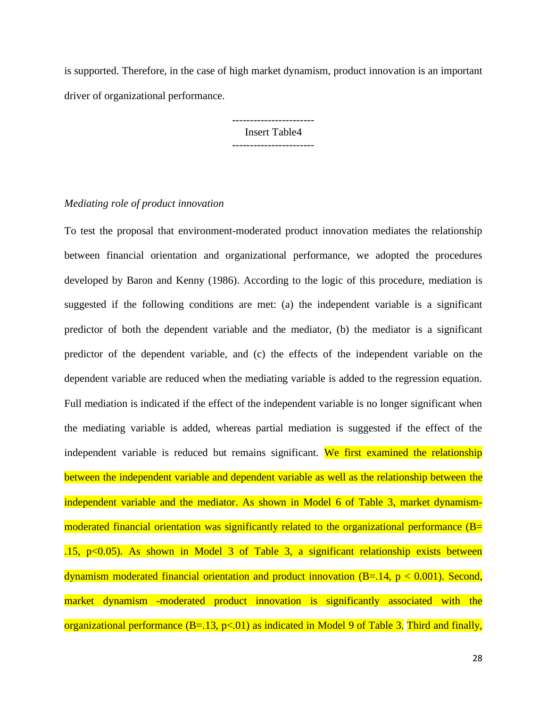is supported. Therefore, in the case of high market dynamism, product innovation is an important driver of organizational performance.

> ----------------------- Insert Table4 -----------------------

# *Mediating role of product innovation*

To test the proposal that environment-moderated product innovation mediates the relationship between financial orientation and organizational performance, we adopted the procedures developed by Baron and Kenny (1986). According to the logic of this procedure, mediation is suggested if the following conditions are met: (a) the independent variable is a significant predictor of both the dependent variable and the mediator, (b) the mediator is a significant predictor of the dependent variable, and (c) the effects of the independent variable on the dependent variable are reduced when the mediating variable is added to the regression equation. Full mediation is indicated if the effect of the independent variable is no longer significant when the mediating variable is added, whereas partial mediation is suggested if the effect of the independent variable is reduced but remains significant. We first examined the relationship between the independent variable and dependent variable as well as the relationship between the independent variable and the mediator. As shown in Model 6 of Table 3, market dynamismmoderated financial orientation was significantly related to the organizational performance (B= .15,  $p<0.05$ ). As shown in Model 3 of Table 3, a significant relationship exists between dynamism moderated financial orientation and product innovation  $(B=.14, p < 0.001)$ . Second, market dynamism -moderated product innovation is significantly associated with the organizational performance  $(B=.13, p<.01)$  as indicated in Model 9 of Table 3. Third and finally,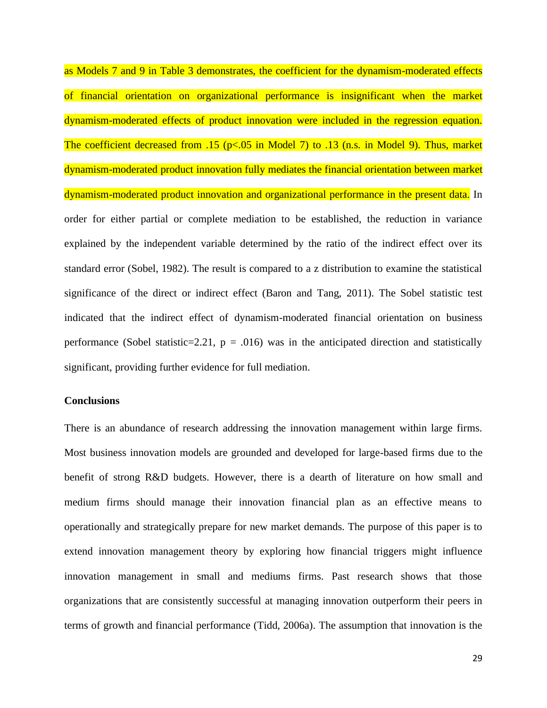as Models 7 and 9 in Table 3 demonstrates, the coefficient for the dynamism-moderated effects of financial orientation on organizational performance is insignificant when the market dynamism-moderated effects of product innovation were included in the regression equation. The coefficient decreased from .15 (p<.05 in Model 7) to .13 (n.s. in Model 9). Thus, market dynamism-moderated product innovation fully mediates the financial orientation between market dynamism-moderated product innovation and organizational performance in the present data. In order for either partial or complete mediation to be established, the reduction in variance explained by the independent variable determined by the ratio of the indirect effect over its standard error (Sobel, 1982). The result is compared to a z distribution to examine the statistical significance of the direct or indirect effect (Baron and Tang, 2011). The Sobel statistic test indicated that the indirect effect of dynamism-moderated financial orientation on business performance (Sobel statistic=2.21,  $p = .016$ ) was in the anticipated direction and statistically significant, providing further evidence for full mediation.

### **Conclusions**

There is an abundance of research addressing the innovation management within large firms. Most business innovation models are grounded and developed for large-based firms due to the benefit of strong R&D budgets. However, there is a dearth of literature on how small and medium firms should manage their innovation financial plan as an effective means to operationally and strategically prepare for new market demands. The purpose of this paper is to extend innovation management theory by exploring how financial triggers might influence innovation management in small and mediums firms. Past research shows that those organizations that are consistently successful at managing innovation outperform their peers in terms of growth and financial performance (Tidd, 2006a). The assumption that innovation is the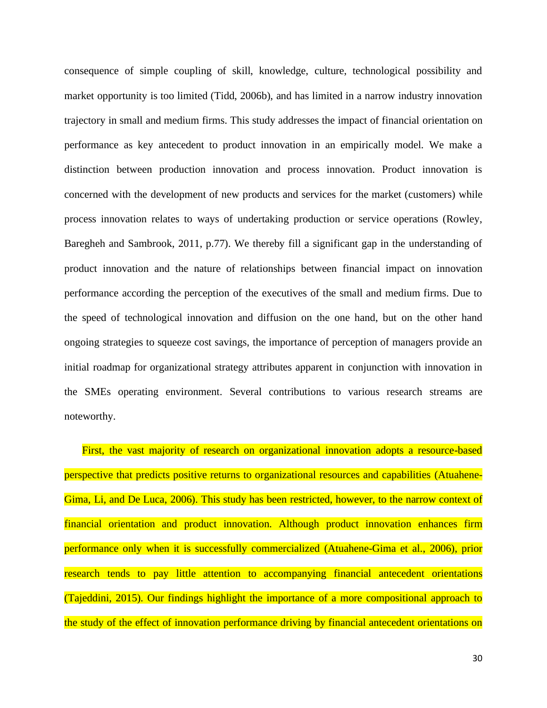consequence of simple coupling of skill, knowledge, culture, technological possibility and market opportunity is too limited (Tidd, 2006b), and has limited in a narrow industry innovation trajectory in small and medium firms. This study addresses the impact of financial orientation on performance as key antecedent to product innovation in an empirically model. We make a distinction between production innovation and process innovation. Product innovation is concerned with the development of new products and services for the market (customers) while process innovation relates to ways of undertaking production or service operations (Rowley, Baregheh and Sambrook, 2011, p.77). We thereby fill a significant gap in the understanding of product innovation and the nature of relationships between financial impact on innovation performance according the perception of the executives of the small and medium firms. Due to the speed of technological innovation and diffusion on the one hand, but on the other hand ongoing strategies to squeeze cost savings, the importance of perception of managers provide an initial roadmap for organizational strategy attributes apparent in conjunction with innovation in the SMEs operating environment. Several contributions to various research streams are noteworthy.

First, the vast majority of research on organizational innovation adopts a resource-based perspective that predicts positive returns to organizational resources and capabilities (Atuahene-Gima, Li, and De Luca, 2006). This study has been restricted, however, to the narrow context of financial orientation and product innovation. Although product innovation enhances firm performance only when it is successfully commercialized (Atuahene-Gima et al., 2006), prior research tends to pay little attention to accompanying financial antecedent orientations (Tajeddini, 2015). Our findings highlight the importance of a more compositional approach to the study of the effect of innovation performance driving by financial antecedent orientations on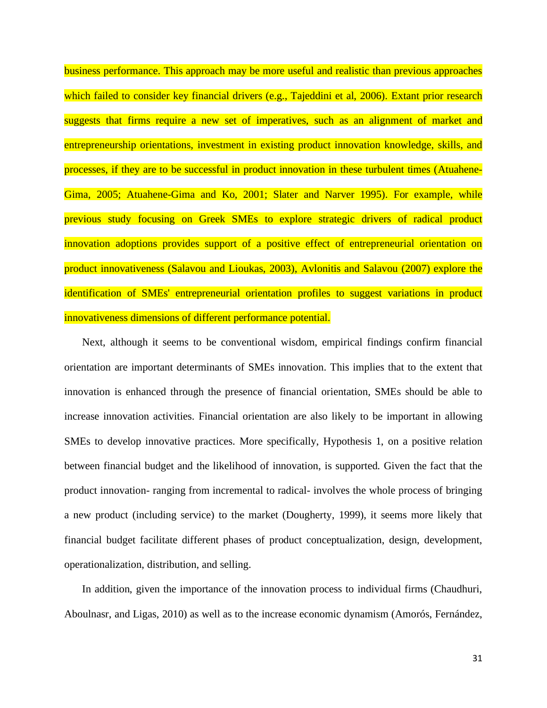business performance. This approach may be more useful and realistic than previous approaches which failed to consider key financial drivers (e.g., Tajeddini et al, 2006). Extant prior research suggests that firms require a new set of imperatives, such as an alignment of market and entrepreneurship orientations, investment in existing product innovation knowledge, skills, and processes, if they are to be successful in product innovation in these turbulent times (Atuahene-Gima, 2005; Atuahene-Gima and Ko, 2001; Slater and Narver 1995). For example, while previous study focusing on Greek SMEs to explore strategic drivers of radical product innovation adoptions provides support of a positive effect of entrepreneurial orientation on product innovativeness (Salavou and Lioukas, 2003), Avlonitis and Salavou (2007) explore the identification of SMEs' entrepreneurial orientation profiles to suggest variations in product innovativeness dimensions of different performance potential.

Next, although it seems to be conventional wisdom, empirical findings confirm financial orientation are important determinants of SMEs innovation. This implies that to the extent that innovation is enhanced through the presence of financial orientation, SMEs should be able to increase innovation activities. Financial orientation are also likely to be important in allowing SMEs to develop innovative practices. More specifically, Hypothesis 1, on a positive relation between financial budget and the likelihood of innovation, is supported. Given the fact that the product innovation- ranging from incremental to radical- involves the whole process of bringing a new product (including service) to the market (Dougherty, 1999), it seems more likely that financial budget facilitate different phases of product conceptualization, design, development, operationalization, distribution, and selling.

In addition, given the importance of the innovation process to individual firms (Chaudhuri, Aboulnasr, and Ligas, 2010) as well as to the increase economic dynamism (Amorós, Fernández,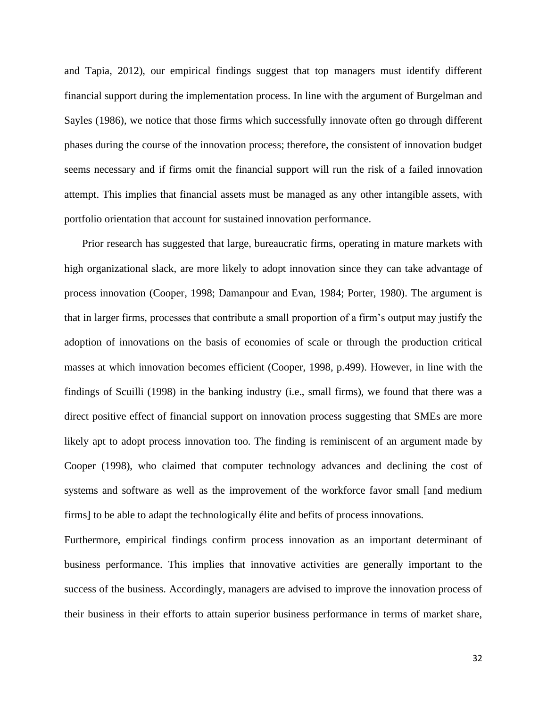and Tapia, 2012), our empirical findings suggest that top managers must identify different financial support during the implementation process. In line with the argument of Burgelman and Sayles (1986), we notice that those firms which successfully innovate often go through different phases during the course of the innovation process; therefore, the consistent of innovation budget seems necessary and if firms omit the financial support will run the risk of a failed innovation attempt. This implies that financial assets must be managed as any other intangible assets, with portfolio orientation that account for sustained innovation performance.

Prior research has suggested that large, bureaucratic firms, operating in mature markets with high organizational slack, are more likely to adopt innovation since they can take advantage of process innovation (Cooper, 1998; Damanpour and Evan, 1984; Porter, 1980). The argument is that in larger firms, processes that contribute a small proportion of a firm's output may justify the adoption of innovations on the basis of economies of scale or through the production critical masses at which innovation becomes efficient (Cooper, 1998, p.499). However, in line with the findings of Scuilli (1998) in the banking industry (i.e., small firms), we found that there was a direct positive effect of financial support on innovation process suggesting that SMEs are more likely apt to adopt process innovation too. The finding is reminiscent of an argument made by Cooper (1998), who claimed that computer technology advances and declining the cost of systems and software as well as the improvement of the workforce favor small [and medium firms] to be able to adapt the technologically élite and befits of process innovations.

Furthermore, empirical findings confirm process innovation as an important determinant of business performance. This implies that innovative activities are generally important to the success of the business. Accordingly, managers are advised to improve the innovation process of their business in their efforts to attain superior business performance in terms of market share,

32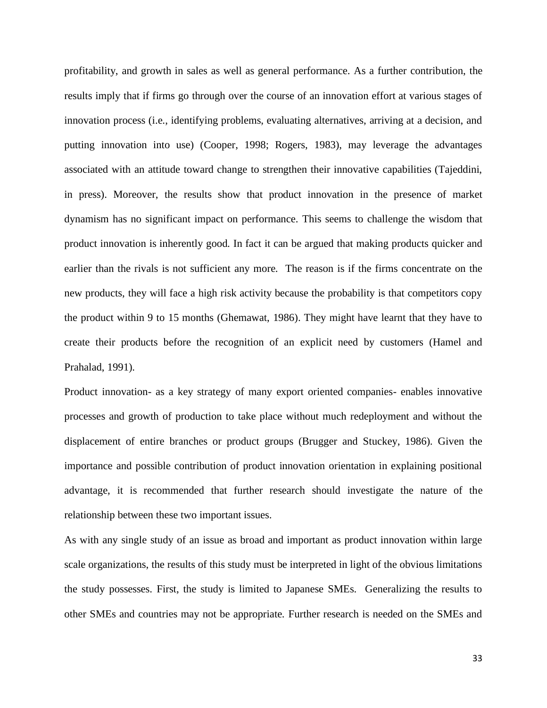profitability, and growth in sales as well as general performance. As a further contribution, the results imply that if firms go through over the course of an innovation effort at various stages of innovation process (i.e., identifying problems, evaluating alternatives, arriving at a decision, and putting innovation into use) (Cooper, 1998; Rogers, 1983), may leverage the advantages associated with an attitude toward change to strengthen their innovative capabilities (Tajeddini, in press). Moreover, the results show that product innovation in the presence of market dynamism has no significant impact on performance. This seems to challenge the wisdom that product innovation is inherently good. In fact it can be argued that making products quicker and earlier than the rivals is not sufficient any more. The reason is if the firms concentrate on the new products, they will face a high risk activity because the probability is that competitors copy the product within 9 to 15 months (Ghemawat, 1986). They might have learnt that they have to create their products before the recognition of an explicit need by customers (Hamel and Prahalad, 1991).

Product innovation- as a key strategy of many export oriented companies- enables innovative processes and growth of production to take place without much redeployment and without the displacement of entire branches or product groups (Brugger and Stuckey, 1986). Given the importance and possible contribution of product innovation orientation in explaining positional advantage, it is recommended that further research should investigate the nature of the relationship between these two important issues.

As with any single study of an issue as broad and important as product innovation within large scale organizations, the results of this study must be interpreted in light of the obvious limitations the study possesses. First, the study is limited to Japanese SMEs. Generalizing the results to other SMEs and countries may not be appropriate. Further research is needed on the SMEs and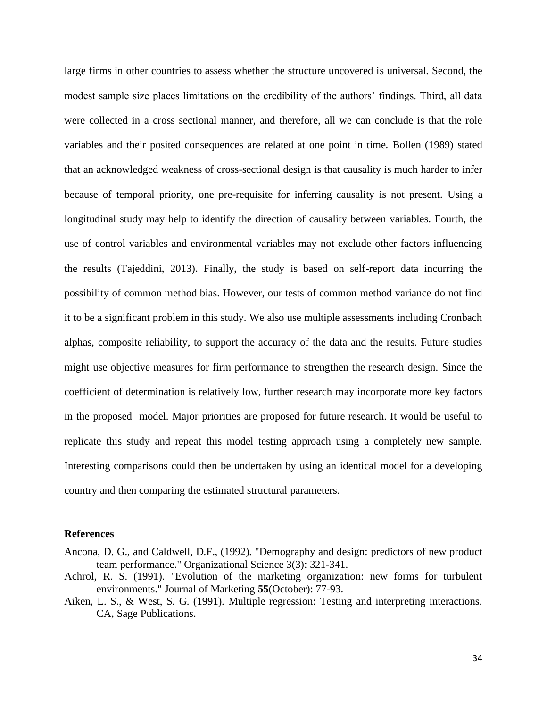large firms in other countries to assess whether the structure uncovered is universal. Second, the modest sample size places limitations on the credibility of the authors' findings. Third, all data were collected in a cross sectional manner, and therefore, all we can conclude is that the role variables and their posited consequences are related at one point in time. Bollen (1989) stated that an acknowledged weakness of cross-sectional design is that causality is much harder to infer because of temporal priority, one pre-requisite for inferring causality is not present. Using a longitudinal study may help to identify the direction of causality between variables. Fourth, the use of control variables and environmental variables may not exclude other factors influencing the results (Tajeddini, 2013). Finally, the study is based on self-report data incurring the possibility of common method bias. However, our tests of common method variance do not find it to be a significant problem in this study. We also use multiple assessments including Cronbach alphas, composite reliability, to support the accuracy of the data and the results. Future studies might use objective measures for firm performance to strengthen the research design. Since the coefficient of determination is relatively low, further research may incorporate more key factors in the proposed model. Major priorities are proposed for future research. It would be useful to replicate this study and repeat this model testing approach using a completely new sample. Interesting comparisons could then be undertaken by using an identical model for a developing country and then comparing the estimated structural parameters.

#### **References**

- Ancona, D. G., and Caldwell, D.F., (1992). "Demography and design: predictors of new product team performance." Organizational Science 3(3): 321-341.
- Achrol, R. S. (1991). "Evolution of the marketing organization: new forms for turbulent environments." Journal of Marketing **55**(October): 77-93.
- Aiken, L. S., & West, S. G. (1991). Multiple regression: Testing and interpreting interactions. CA, Sage Publications.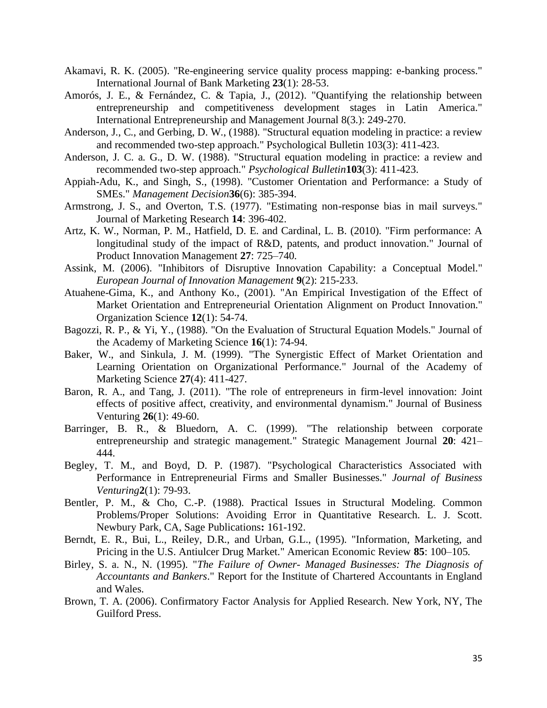- Akamavi, R. K. (2005). "Re-engineering service quality process mapping: e-banking process." International Journal of Bank Marketing **23**(1): 28-53.
- Amorós, J. E., & Fernández, C. & Tapia, J., (2012). "Quantifying the relationship between entrepreneurship and competitiveness development stages in Latin America." International Entrepreneurship and Management Journal 8(3.): 249-270.
- Anderson, J., C., and Gerbing, D. W., (1988). "Structural equation modeling in practice: a review and recommended two-step approach." Psychological Bulletin 103(3): 411-423.
- Anderson, J. C. a. G., D. W. (1988). "Structural equation modeling in practice: a review and recommended two-step approach." *Psychological Bulletin***103**(3): 411-423.
- Appiah-Adu, K., and Singh, S., (1998). "Customer Orientation and Performance: a Study of SMEs." *Management Decision***36**(6): 385-394.
- Armstrong, J. S., and Overton, T.S. (1977). "Estimating non-response bias in mail surveys." Journal of Marketing Research **14**: 396-402.
- Artz, K. W., Norman, P. M., Hatfield, D. E. and Cardinal, L. B. (2010). "Firm performance: A longitudinal study of the impact of R&D, patents, and product innovation." Journal of Product Innovation Management **27**: 725–740.
- Assink, M. (2006). "Inhibitors of Disruptive Innovation Capability: a Conceptual Model." *European Journal of Innovation Management* **9**(2): 215-233.
- Atuahene-Gima, K., and Anthony Ko., (2001). "An Empirical Investigation of the Effect of Market Orientation and Entrepreneurial Orientation Alignment on Product Innovation." Organization Science **12**(1): 54-74.
- Bagozzi, R. P., & Yi, Y., (1988). "On the Evaluation of Structural Equation Models." Journal of the Academy of Marketing Science **16**(1): 74-94.
- Baker, W., and Sinkula, J. M. (1999). "The Synergistic Effect of Market Orientation and Learning Orientation on Organizational Performance." Journal of the Academy of Marketing Science **27**(4): 411-427.
- Baron, R. A., and Tang, J. (2011). "The role of entrepreneurs in firm-level innovation: Joint effects of positive affect, creativity, and environmental dynamism." Journal of Business Venturing **26**(1): 49-60.
- Barringer, B. R., & Bluedorn, A. C. (1999). "The relationship between corporate entrepreneurship and strategic management." Strategic Management Journal **20**: 421– 444.
- Begley, T. M., and Boyd, D. P. (1987). "Psychological Characteristics Associated with Performance in Entrepreneurial Firms and Smaller Businesses." *Journal of Business Venturing***2**(1): 79-93.
- Bentler, P. M., & Cho, C.-P. (1988). Practical Issues in Structural Modeling. Common Problems/Proper Solutions: Avoiding Error in Quantitative Research. L. J. Scott. Newbury Park, CA, Sage Publications**:** 161-192.
- Berndt, E. R., Bui, L., Reiley, D.R., and Urban, G.L., (1995). "Information, Marketing, and Pricing in the U.S. Antiulcer Drug Market." American Economic Review **85**: 100–105.
- Birley, S. a. N., N. (1995). "*The Failure of Owner- Managed Businesses: The Diagnosis of Accountants and Bankers*." Report for the Institute of Chartered Accountants in England and Wales.
- Brown, T. A. (2006). Confirmatory Factor Analysis for Applied Research. New York, NY, The Guilford Press.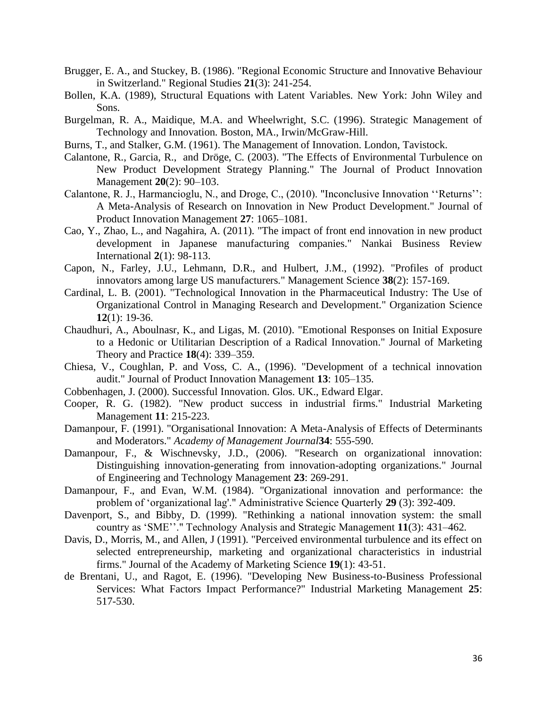- Brugger, E. A., and Stuckey, B. (1986). "Regional Economic Structure and Innovative Behaviour in Switzerland." Regional Studies **21**(3): 241-254.
- Bollen, K.A. (1989), Structural Equations with Latent Variables. New York: John Wiley and Sons.
- Burgelman, R. A., Maidique, M.A. and Wheelwright, S.C. (1996). Strategic Management of Technology and Innovation. Boston, MA., Irwin/McGraw-Hill.
- Burns, T., and Stalker, G.M. (1961). The Management of Innovation. London, Tavistock.
- Calantone, R., Garcia, R., and Dröge, C. (2003). "The Effects of Environmental Turbulence on New Product Development Strategy Planning." The Journal of Product Innovation Management **20**(2): 90–103.
- Calantone, R. J., Harmancioglu, N., and Droge, C., (2010). "Inconclusive Innovation ''Returns'': A Meta-Analysis of Research on Innovation in New Product Development." Journal of Product Innovation Management **27**: 1065–1081.
- Cao, Y., Zhao, L., and Nagahira, A. (2011). "The impact of front end innovation in new product development in Japanese manufacturing companies." Nankai Business Review International **2**(1): 98-113.
- Capon, N., Farley, J.U., Lehmann, D.R., and Hulbert, J.M., (1992). "Profiles of product innovators among large US manufacturers." Management Science **38**(2): 157-169.
- Cardinal, L. B. (2001). "Technological Innovation in the Pharmaceutical Industry: The Use of Organizational Control in Managing Research and Development." Organization Science **12**(1): 19-36.
- Chaudhuri, A., Aboulnasr, K., and Ligas, M. (2010). "Emotional Responses on Initial Exposure to a Hedonic or Utilitarian Description of a Radical Innovation." Journal of Marketing Theory and Practice **18**(4): 339–359.
- Chiesa, V., Coughlan, P. and Voss, C. A., (1996). "Development of a technical innovation audit." Journal of Product Innovation Management **13**: 105–135.
- Cobbenhagen, J. (2000). Successful Innovation. Glos. UK., Edward Elgar.
- Cooper, R. G. (1982). "New product success in industrial firms." Industrial Marketing Management **11**: 215-223.
- Damanpour, F. (1991). "Organisational Innovation: A Meta-Analysis of Effects of Determinants and Moderators." *Academy of Management Journal***34**: 555-590.
- Damanpour, F., & Wischnevsky, J.D., (2006). "Research on organizational innovation: Distinguishing innovation-generating from innovation-adopting organizations." Journal of Engineering and Technology Management **23**: 269-291.
- Damanpour, F., and Evan, W.M. (1984). "Organizational innovation and performance: the problem of 'organizational lag'." Administrative Science Quarterly **29** (3): 392-409.
- Davenport, S., and Bibby, D. (1999). "Rethinking a national innovation system: the small country as 'SME''." Technology Analysis and Strategic Management **11**(3): 431–462.
- Davis, D., Morris, M., and Allen, J (1991). "Perceived environmental turbulence and its effect on selected entrepreneurship, marketing and organizational characteristics in industrial firms." Journal of the Academy of Marketing Science **19**(1): 43-51.
- de Brentani, U., and Ragot, E. (1996). "Developing New Business-to-Business Professional Services: What Factors Impact Performance?" Industrial Marketing Management **25**: 517-530.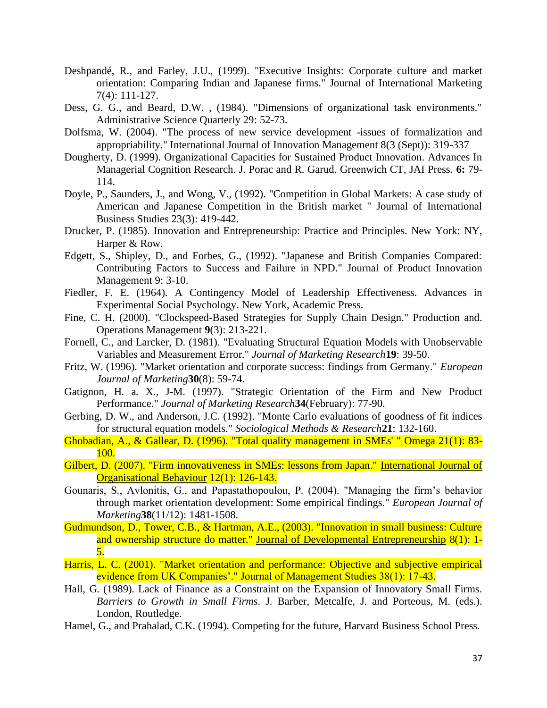- Deshpandé, R., and Farley, J.U., (1999). "Executive Insights: Corporate culture and market orientation: Comparing Indian and Japanese firms." Journal of International Marketing 7(4): 111-127.
- Dess, G. G., and Beard, D.W. , (1984). "Dimensions of organizational task environments." Administrative Science Quarterly 29: 52-73.
- Dolfsma, W. (2004). "The process of new service development -issues of formalization and appropriability." International Journal of Innovation Management 8(3 (Sept)): 319-337
- Dougherty, D. (1999). Organizational Capacities for Sustained Product Innovation. Advances In Managerial Cognition Research. J. Porac and R. Garud. Greenwich CT, JAI Press. **6:** 79- 114.
- Doyle, P., Saunders, J., and Wong, V., (1992). "Competition in Global Markets: A case study of American and Japanese Competition in the British market " Journal of International Business Studies 23(3): 419-442.
- Drucker, P. (1985). Innovation and Entrepreneurship: Practice and Principles. New York: NY, Harper & Row.
- Edgett, S., Shipley, D., and Forbes, G., (1992). "Japanese and British Companies Compared: Contributing Factors to Success and Failure in NPD." Journal of Product Innovation Management 9: 3-10.
- Fiedler, F. E. (1964). A Contingency Model of Leadership Effectiveness. Advances in Experimental Social Psychology. New York, Academic Press.
- Fine, C. H. (2000). "Clockspeed-Based Strategies for Supply Chain Design." Production and. Operations Management **9**(3): 213-221.
- Fornell, C., and Larcker, D. (1981). "Evaluating Structural Equation Models with Unobservable Variables and Measurement Error." *Journal of Marketing Research***19**: 39-50.
- Fritz, W. (1996). "Market orientation and corporate success: findings from Germany." *European Journal of Marketing***30**(8): 59-74.
- Gatignon, H. a. X., J-M. (1997). "Strategic Orientation of the Firm and New Product Performance." *Journal of Marketing Research***34**(February): 77-90.
- Gerbing, D. W., and Anderson, J.C. (1992). "Monte Carlo evaluations of goodness of fit indices for structural equation models." *Sociological Methods & Research***21**: 132-160.
- Ghobadian, A., & Gallear, D. (1996). "Total quality management in SMEs' " Omega 21(1): 83- 100.
- Gilbert, D. (2007). "Firm innovativeness in SMEs: lessons from Japan." International Journal of Organisational Behaviour 12(1): 126-143.
- Gounaris, S., Avlonitis, G., and Papastathopoulou, P. (2004). "Managing the firm's behavior through market orientation development: Some empirical findings." *European Journal of Marketing***38**(11/12): 1481-1508.
- Gudmundson, D., Tower, C.B., & Hartman, A.E., (2003). "Innovation in small business: Culture and ownership structure do matter." Journal of Developmental Entrepreneurship 8(1): 1-5.
- Harris, L. C. (2001). "Market orientation and performance: Objective and subjective empirical evidence from UK Companies'." Journal of Management Studies 38(1): 17-43.
- Hall, G. (1989). Lack of Finance as a Constraint on the Expansion of Innovatory Small Firms. *Barriers to Growth in Small Firms*. J. Barber, Metcalfe, J. and Porteous, M. (eds.). London, Routledge.
- Hamel, G., and Prahalad, C.K. (1994). Competing for the future, Harvard Business School Press.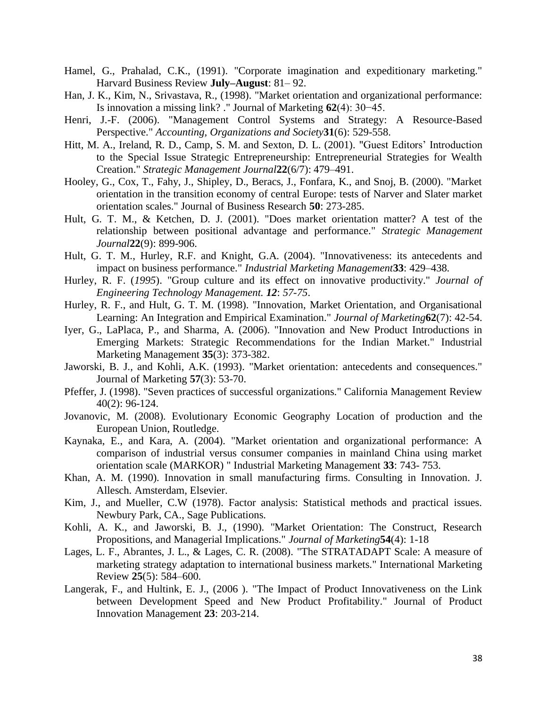- Hamel, G., Prahalad, C.K., (1991). "Corporate imagination and expeditionary marketing." Harvard Business Review **July–August**: 81– 92.
- Han, J. K., Kim, N., Srivastava, R., (1998). "Market orientation and organizational performance: Is innovation a missing link? ." Journal of Marketing **62**(4): 30−45.
- Henri, J.-F. (2006). "Management Control Systems and Strategy: A Resource-Based Perspective." *Accounting, Organizations and Society***31**(6): 529-558.
- Hitt, M. A., Ireland, R. D., Camp, S. M. and Sexton, D. L. (2001). "Guest Editors' Introduction to the Special Issue Strategic Entrepreneurship: Entrepreneurial Strategies for Wealth Creation." *Strategic Management Journal***22**(6/7): 479–491.
- Hooley, G., Cox, T., Fahy, J., Shipley, D., Beracs, J., Fonfara, K., and Snoj, B. (2000). "Market orientation in the transition economy of central Europe: tests of Narver and Slater market orientation scales." Journal of Business Research **50**: 273-285.
- Hult, G. T. M., & Ketchen, D. J. (2001). "Does market orientation matter? A test of the relationship between positional advantage and performance." *Strategic Management Journal***22**(9): 899-906.
- Hult, G. T. M., Hurley, R.F. and Knight, G.A. (2004). "Innovativeness: its antecedents and impact on business performance." *Industrial Marketing Management***33**: 429–438.
- Hurley, R. F. (*1995*). "Group culture and its effect on innovative productivity." *Journal of Engineering Technology Management. 12*: *57-75*.
- Hurley, R. F., and Hult, G. T. M. (1998). "Innovation, Market Orientation, and Organisational Learning: An Integration and Empirical Examination." *Journal of Marketing***62**(7): 42-54.
- Iyer, G., LaPlaca, P., and Sharma, A. (2006). "Innovation and New Product Introductions in Emerging Markets: Strategic Recommendations for the Indian Market." Industrial Marketing Management **35**(3): 373-382.
- Jaworski, B. J., and Kohli, A.K. (1993). "Market orientation: antecedents and consequences." Journal of Marketing **57**(3): 53-70.
- Pfeffer, J. (1998). "Seven practices of successful organizations." California Management Review 40(2): 96-124.
- Jovanovic, M. (2008). Evolutionary Economic Geography Location of production and the European Union, Routledge.
- Kaynaka, E., and Kara, A. (2004). "Market orientation and organizational performance: A comparison of industrial versus consumer companies in mainland China using market orientation scale (MARKOR) " Industrial Marketing Management **33**: 743- 753.
- Khan, A. M. (1990). Innovation in small manufacturing firms. Consulting in Innovation. J. Allesch. Amsterdam, Elsevier.
- Kim, J., and Mueller, C.W (1978). Factor analysis: Statistical methods and practical issues. Newbury Park, CA., Sage Publications.
- Kohli, A. K., and Jaworski, B. J., (1990). "Market Orientation: The Construct, Research Propositions, and Managerial Implications." *Journal of Marketing***54**(4): 1-18
- Lages, L. F., Abrantes, J. L., & Lages, C. R. (2008). "The STRATADAPT Scale: A measure of marketing strategy adaptation to international business markets." International Marketing Review **25**(5): 584–600.
- Langerak, F., and Hultink, E. J., (2006 ). "The Impact of Product Innovativeness on the Link between Development Speed and New Product Profitability." Journal of Product Innovation Management **23**: 203-214.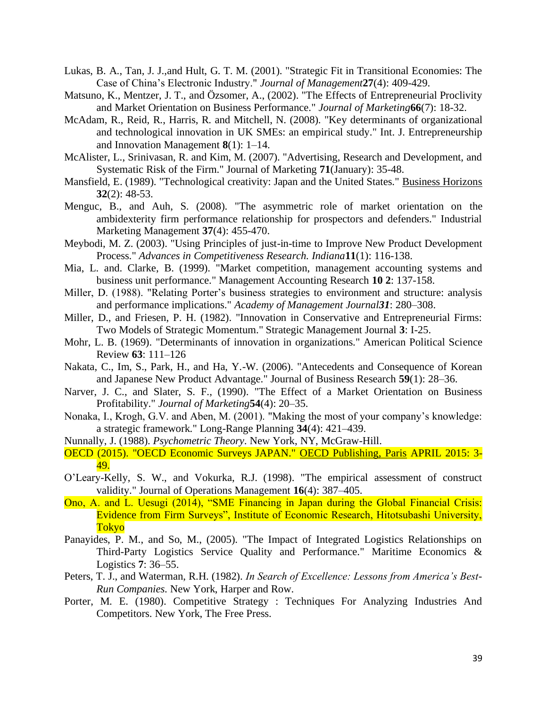- Lukas, B. A., Tan, J. J.,and Hult, G. T. M. (2001). "Strategic Fit in Transitional Economies: The Case of China's Electronic Industry." *Journal of Management***27**(4): 409-429.
- Matsuno, K., Mentzer, J. T., and Özsomer, A., (2002). "The Effects of Entrepreneurial Proclivity and Market Orientation on Business Performance." *Journal of Marketing***66**(7): 18-32.
- McAdam, R., Reid, R., Harris, R. and Mitchell, N. (2008). "Key determinants of organizational and technological innovation in UK SMEs: an empirical study." Int. J. Entrepreneurship and Innovation Management **8**(1): 1–14.
- McAlister, L., Srinivasan, R. and Kim, M. (2007). "Advertising, Research and Development, and Systematic Risk of the Firm." Journal of Marketing **71**(January): 35-48.
- Mansfield, E. (1989). "Technological creativity: Japan and the United States." Business Horizons **32**(2): 48-53.
- Menguc, B., and Auh, S. (2008). "The asymmetric role of market orientation on the ambidexterity firm performance relationship for prospectors and defenders." Industrial Marketing Management **37**(4): 455-470.
- Meybodi, M. Z. (2003). "Using Principles of just-in-time to Improve New Product Development Process." *Advances in Competitiveness Research. Indiana***11**(1): 116-138.
- Mia, L. and. Clarke, B. (1999). "Market competition, management accounting systems and business unit performance." Management Accounting Research **10 2**: 137-158.
- Miller, D. (1988). "Relating Porter's business strategies to environment and structure: analysis and performance implications." *Academy of Management Journal31*: 280–308.
- Miller, D., and Friesen, P. H. (1982). "Innovation in Conservative and Entrepreneurial Firms: Two Models of Strategic Momentum." Strategic Management Journal **3**: I-25.
- Mohr, L. B. (1969). "Determinants of innovation in organizations." American Political Science Review **63**: 111–126
- Nakata, C., Im, S., Park, H., and Ha, Y.-W. (2006). "Antecedents and Consequence of Korean and Japanese New Product Advantage." Journal of Business Research **59**(1): 28–36.
- Narver, J. C., and Slater, S. F., (1990). "The Effect of a Market Orientation on Business Profitability." *Journal of Marketing***54**(4): 20–35.
- Nonaka, I., Krogh, G.V. and Aben, M. (2001). "Making the most of your company's knowledge: a strategic framework." Long-Range Planning **34**(4): 421–439.

Nunnally, J. (1988). *Psychometric Theory*. New York, NY, McGraw-Hill.

- OECD (2015). "OECD Economic Surveys JAPAN." OECD Publishing, Paris APRIL 2015: 3- 49.
- O'Leary-Kelly, S. W., and Vokurka, R.J. (1998). "The empirical assessment of construct validity." Journal of Operations Management **16**(4): 387–405.
- Ono, A. and L. Uesugi (2014), "SME Financing in Japan during the Global Financial Crisis: Evidence from Firm Surveys", Institute of Economic Research, Hitotsubashi University, Tokyo
- Panayides, P. M., and So, M., (2005). "The Impact of Integrated Logistics Relationships on Third-Party Logistics Service Quality and Performance." Maritime Economics & Logistics **7**: 36–55.
- Peters, T. J., and Waterman, R.H. (1982). *In Search of Excellence: Lessons from America's Best-Run Companies*. New York, Harper and Row.
- Porter, M. E. (1980). Competitive Strategy : Techniques For Analyzing Industries And Competitors. New York, The Free Press.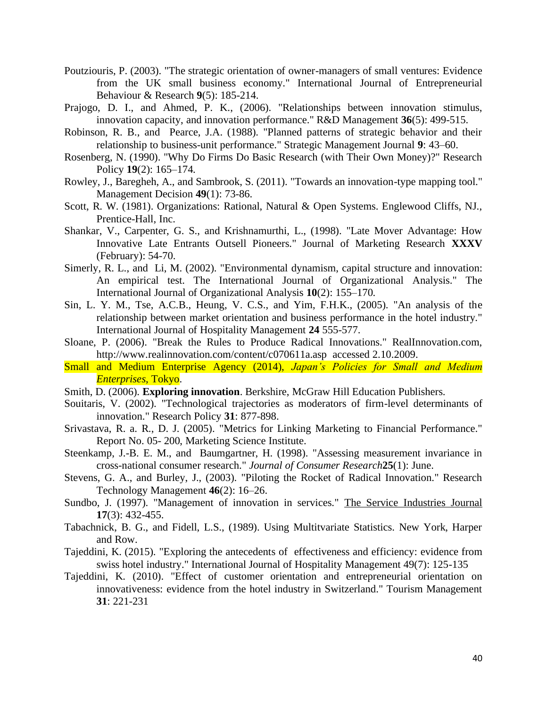- Poutziouris, P. (2003). "The strategic orientation of owner-managers of small ventures: Evidence from the UK small business economy." International Journal of Entrepreneurial Behaviour & Research **9**(5): 185-214.
- Prajogo, D. I., and Ahmed, P. K., (2006). "Relationships between innovation stimulus, innovation capacity, and innovation performance." R&D Management **36**(5): 499-515.
- Robinson, R. B., and Pearce, J.A. (1988). "Planned patterns of strategic behavior and their relationship to business-unit performance." Strategic Management Journal **9**: 43–60.
- Rosenberg, N. (1990). "Why Do Firms Do Basic Research (with Their Own Money)?" Research Policy **19**(2): 165–174.
- Rowley, J., Baregheh, A., and Sambrook, S. (2011). "Towards an innovation-type mapping tool." Management Decision **49**(1): 73-86.
- Scott, R. W. (1981). Organizations: Rational, Natural & Open Systems. Englewood Cliffs, NJ., Prentice-Hall, Inc.
- Shankar, V., Carpenter, G. S., and Krishnamurthi, L., (1998). "Late Mover Advantage: How Innovative Late Entrants Outsell Pioneers." Journal of Marketing Research **XXXV**  (February): 54-70.
- Simerly, R. L., and Li, M. (2002). "Environmental dynamism, capital structure and innovation: An empirical test. The International Journal of Organizational Analysis." The International Journal of Organizational Analysis **10**(2): 155–170.
- Sin, L. Y. M., Tse, A.C.B., Heung, V. C.S., and Yim, F.H.K., (2005). "An analysis of the relationship between market orientation and business performance in the hotel industry." International Journal of Hospitality Management **24** 555-577.
- Sloane, P. (2006). "Break the Rules to Produce Radical Innovations." RealInnovation.com, <http://www.realinnovation.com/content/c070611a.asp>accessed 2.10.2009.
- Small and Medium Enterprise Agency (2014), *Japan's Policies for Small and Medium Enterprises*, Tokyo.
- Smith, D. (2006). **Exploring innovation**. Berkshire, McGraw Hill Education Publishers.
- Souitaris, V. (2002). "Technological trajectories as moderators of firm-level determinants of innovation." Research Policy **31**: 877-898.
- Srivastava, R. a. R., D. J. (2005). "Metrics for Linking Marketing to Financial Performance." Report No. 05- 200, Marketing Science Institute.
- Steenkamp, J.-B. E. M., and Baumgartner, H. (1998). "Assessing measurement invariance in cross-national consumer research." *Journal of Consumer Research***25**(1): June.
- Stevens, G. A., and Burley, J., (2003). "Piloting the Rocket of Radical Innovation." Research Technology Management **46**(2): 16–26.
- Sundbo, J. (1997). "Management of innovation in services." The Service Industries Journal **17**(3): 432-455.
- Tabachnick, B. G., and Fidell, L.S., (1989). Using Multitvariate Statistics. New York, Harper and Row.
- Tajeddini, K. (2015). "Exploring the antecedents of effectiveness and efficiency: evidence from swiss hotel industry." International Journal of Hospitality Management 49(7): 125-135
- Tajeddini, K. (2010). "Effect of customer orientation and entrepreneurial orientation on innovativeness: evidence from the hotel industry in Switzerland." Tourism Management **31**: 221-231